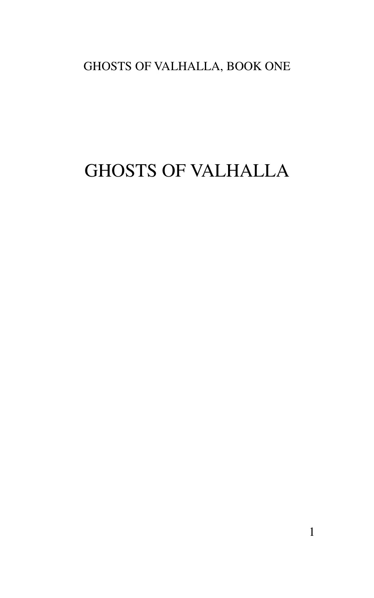# GHOSTS OF VALHALLA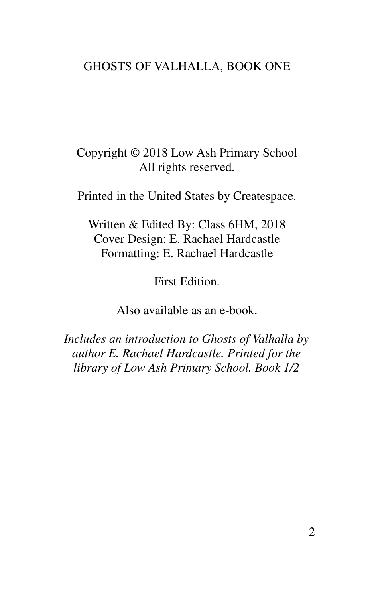Copyright © 2018 Low Ash Primary School All rights reserved.

Printed in the United States by Createspace.

Written & Edited By: Class 6HM, 2018 Cover Design: E. Rachael Hardcastle Formatting: E. Rachael Hardcastle

First Edition.

Also available as an e-book.

*Includes an introduction to Ghosts of Valhalla by author E. Rachael Hardcastle. Printed for the library of Low Ash Primary School. Book 1/2*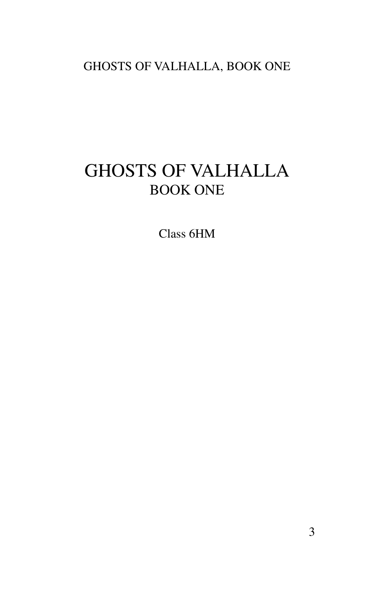# GHOSTS OF VALHALLA BOOK ONE

Class 6HM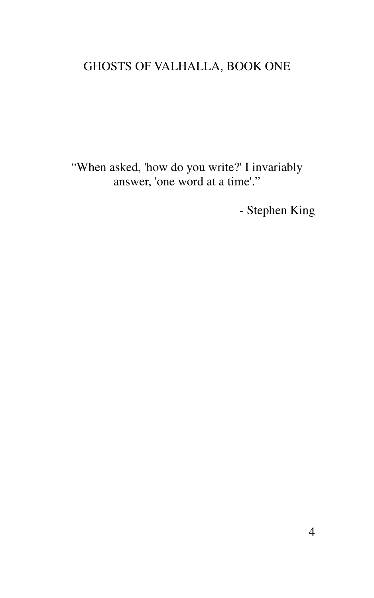"When asked, 'how do you write?' I invariably answer, 'one word at a time'."

- Stephen King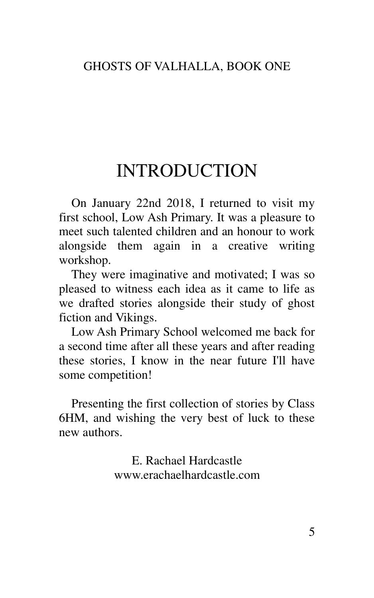# INTRODUCTION

On January 22nd 2018, I returned to visit my first school, Low Ash Primary. It was a pleasure to meet such talented children and an honour to work alongside them again in a creative writing workshop.

They were imaginative and motivated; I was so pleased to witness each idea as it came to life as we drafted stories alongside their study of ghost fiction and Vikings.

Low Ash Primary School welcomed me back for a second time after all these years and after reading these stories, I know in the near future I'll have some competition!

Presenting the first collection of stories by Class 6HM, and wishing the very best of luck to these new authors.

> E. Rachael Hardcastle www.erachaelhardcastle.com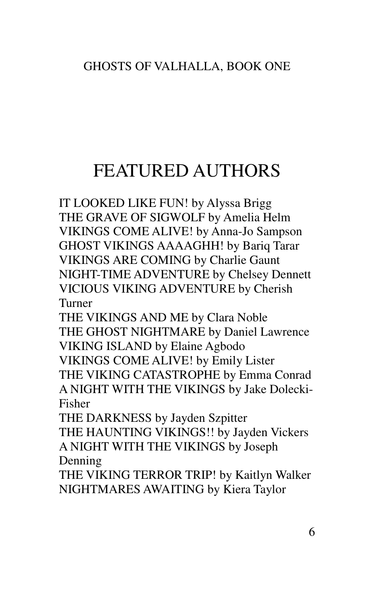# FEATURED AUTHORS

IT LOOKED LIKE FUN! by Alyssa Brigg THE GRAVE OF SIGWOLF by Amelia Helm VIKINGS COME ALIVE! by Anna-Jo Sampson GHOST VIKINGS AAAAGHH! by Bariq Tarar VIKINGS ARE COMING by Charlie Gaunt NIGHT-TIME ADVENTURE by Chelsey Dennett VICIOUS VIKING ADVENTURE by Cherish Turner

THE VIKINGS AND ME by Clara Noble THE GHOST NIGHTMARE by Daniel Lawrence VIKING ISLAND by Elaine Agbodo VIKINGS COME ALIVE! by Emily Lister THE VIKING CATASTROPHE by Emma Conrad A NIGHT WITH THE VIKINGS by Jake Dolecki-Fisher

THE DARKNESS by Jayden Szpitter THE HAUNTING VIKINGS!! by Jayden Vickers A NIGHT WITH THE VIKINGS by Joseph Denning

THE VIKING TERROR TRIP! by Kaitlyn Walker NIGHTMARES AWAITING by Kiera Taylor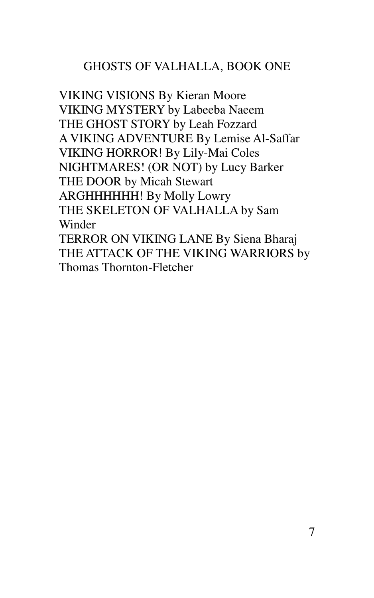VIKING VISIONS By Kieran Moore VIKING MYSTERY by Labeeba Naeem THE GHOST STORY by Leah Fozzard A VIKING ADVENTURE By Lemise Al-Saffar VIKING HORROR! By Lily-Mai Coles NIGHTMARES! (OR NOT) by Lucy Barker THE DOOR by Micah Stewart ARGHHHHHH! By Molly Lowry THE SKELETON OF VALHALLA by Sam Winder TERROR ON VIKING LANE By Siena Bharaj THE ATTACK OF THE VIKING WARRIORS by Thomas Thornton-Fletcher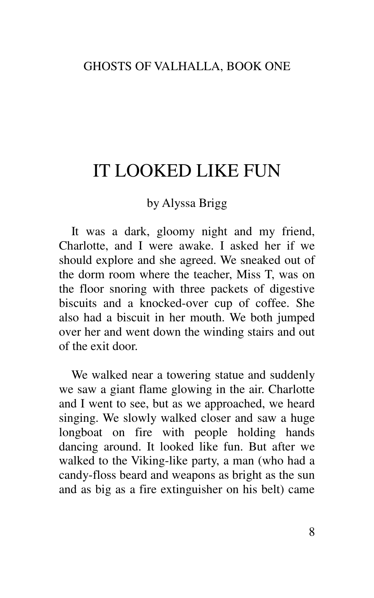# IT LOOKED LIKE FUN

#### by Alyssa Brigg

It was a dark, gloomy night and my friend, Charlotte, and I were awake. I asked her if we should explore and she agreed. We sneaked out of the dorm room where the teacher, Miss T, was on the floor snoring with three packets of digestive biscuits and a knocked-over cup of coffee. She also had a biscuit in her mouth. We both jumped over her and went down the winding stairs and out of the exit door.

We walked near a towering statue and suddenly we saw a giant flame glowing in the air. Charlotte and I went to see, but as we approached, we heard singing. We slowly walked closer and saw a huge longboat on fire with people holding hands dancing around. It looked like fun. But after we walked to the Viking-like party, a man (who had a candy-floss beard and weapons as bright as the sun and as big as a fire extinguisher on his belt) came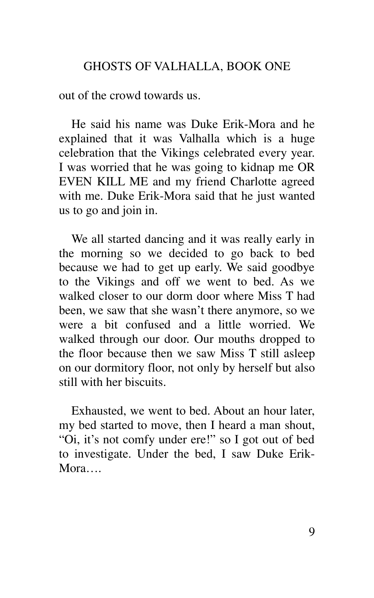out of the crowd towards us.

He said his name was Duke Erik-Mora and he explained that it was Valhalla which is a huge celebration that the Vikings celebrated every year. I was worried that he was going to kidnap me OR EVEN KILL ME and my friend Charlotte agreed with me. Duke Erik-Mora said that he just wanted us to go and join in.

We all started dancing and it was really early in the morning so we decided to go back to bed because we had to get up early. We said goodbye to the Vikings and off we went to bed. As we walked closer to our dorm door where Miss T had been, we saw that she wasn't there anymore, so we were a bit confused and a little worried. We walked through our door. Our mouths dropped to the floor because then we saw Miss T still asleep on our dormitory floor, not only by herself but also still with her biscuits.

Exhausted, we went to bed. About an hour later, my bed started to move, then I heard a man shout, "Oi, it's not comfy under ere!" so I got out of bed to investigate. Under the bed, I saw Duke Erik-Mora….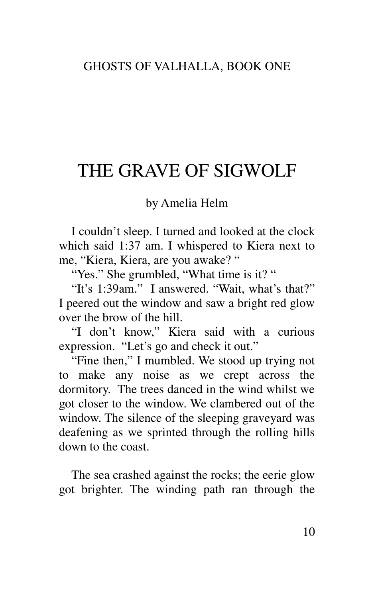# THE GRAVE OF SIGWOLF

#### by Amelia Helm

I couldn't sleep. I turned and looked at the clock which said 1:37 am. I whispered to Kiera next to me, "Kiera, Kiera, are you awake? "

"Yes." She grumbled, "What time is it? "

"It's 1:39am." I answered. "Wait, what's that?" I peered out the window and saw a bright red glow over the brow of the hill.

"I don't know," Kiera said with a curious expression. "Let's go and check it out."

"Fine then," I mumbled. We stood up trying not to make any noise as we crept across the dormitory. The trees danced in the wind whilst we got closer to the window. We clambered out of the window. The silence of the sleeping graveyard was deafening as we sprinted through the rolling hills down to the coast.

The sea crashed against the rocks; the eerie glow got brighter. The winding path ran through the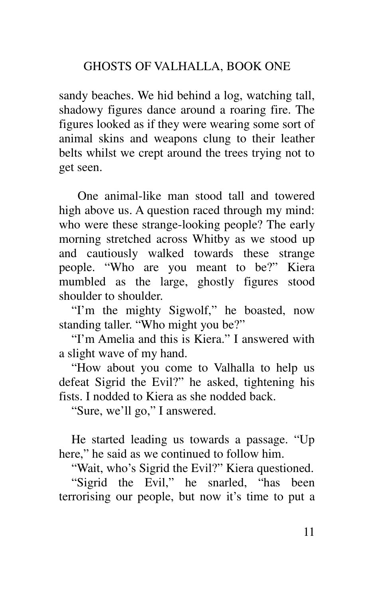sandy beaches. We hid behind a log, watching tall, shadowy figures dance around a roaring fire. The figures looked as if they were wearing some sort of animal skins and weapons clung to their leather belts whilst we crept around the trees trying not to get seen.

 One animal-like man stood tall and towered high above us. A question raced through my mind: who were these strange-looking people? The early morning stretched across Whitby as we stood up and cautiously walked towards these strange people. "Who are you meant to be?" Kiera mumbled as the large, ghostly figures stood shoulder to shoulder.

"I'm the mighty Sigwolf," he boasted, now standing taller. "Who might you be?"

"I'm Amelia and this is Kiera." I answered with a slight wave of my hand.

"How about you come to Valhalla to help us defeat Sigrid the Evil?" he asked, tightening his fists. I nodded to Kiera as she nodded back.

"Sure, we'll go," I answered.

He started leading us towards a passage. "Up here," he said as we continued to follow him.

"Wait, who's Sigrid the Evil?" Kiera questioned.

"Sigrid the Evil," he snarled, "has been terrorising our people, but now it's time to put a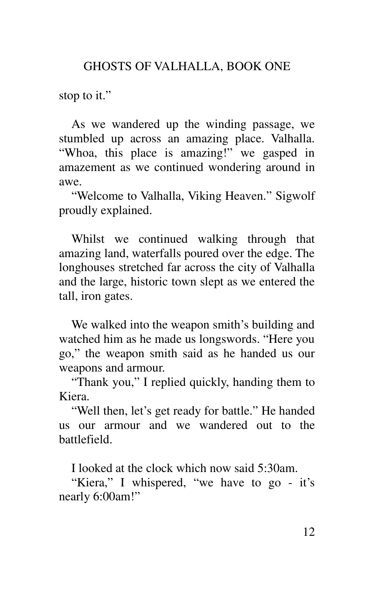stop to it."

As we wandered up the winding passage, we stumbled up across an amazing place. Valhalla. "Whoa, this place is amazing!" we gasped in amazement as we continued wondering around in awe.

"Welcome to Valhalla, Viking Heaven." Sigwolf proudly explained.

Whilst we continued walking through that amazing land, waterfalls poured over the edge. The longhouses stretched far across the city of Valhalla and the large, historic town slept as we entered the tall, iron gates.

We walked into the weapon smith's building and watched him as he made us longswords. "Here you go," the weapon smith said as he handed us our weapons and armour.

"Thank you," I replied quickly, handing them to Kiera.

"Well then, let's get ready for battle." He handed us our armour and we wandered out to the battlefield.

I looked at the clock which now said 5:30am.

"Kiera," I whispered, "we have to go - it's nearly 6:00am!"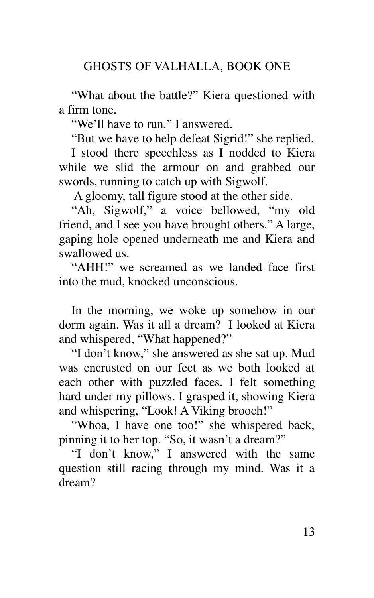"What about the battle?" Kiera questioned with a firm tone.

"We'll have to run." I answered.

"But we have to help defeat Sigrid!" she replied.

I stood there speechless as I nodded to Kiera while we slid the armour on and grabbed our swords, running to catch up with Sigwolf.

A gloomy, tall figure stood at the other side.

"Ah, Sigwolf," a voice bellowed, "my old friend, and I see you have brought others." A large, gaping hole opened underneath me and Kiera and swallowed us.

"AHH!" we screamed as we landed face first into the mud, knocked unconscious.

In the morning, we woke up somehow in our dorm again. Was it all a dream? I looked at Kiera and whispered, "What happened?"

"I don't know," she answered as she sat up. Mud was encrusted on our feet as we both looked at each other with puzzled faces. I felt something hard under my pillows. I grasped it, showing Kiera and whispering, "Look! A Viking brooch!"

"Whoa, I have one too!" she whispered back, pinning it to her top. "So, it wasn't a dream?"

"I don't know," I answered with the same question still racing through my mind. Was it a dream?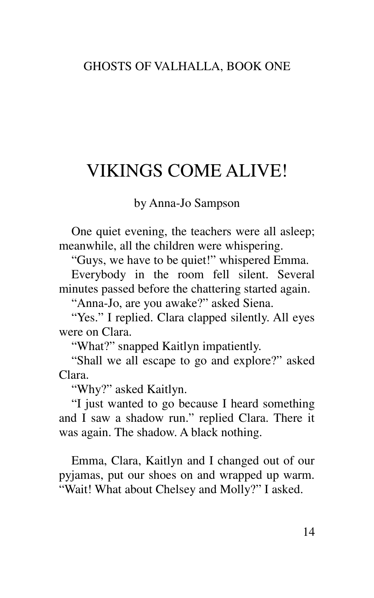## VIKINGS COME ALIVE!

by Anna-Jo Sampson

One quiet evening, the teachers were all asleep; meanwhile, all the children were whispering.

"Guys, we have to be quiet!" whispered Emma.

Everybody in the room fell silent. Several minutes passed before the chattering started again.

"Anna-Jo, are you awake?" asked Siena.

"Yes." I replied. Clara clapped silently. All eyes were on Clara.

"What?" snapped Kaitlyn impatiently.

"Shall we all escape to go and explore?" asked Clara.

"Why?" asked Kaitlyn.

"I just wanted to go because I heard something and I saw a shadow run." replied Clara. There it was again. The shadow. A black nothing.

Emma, Clara, Kaitlyn and I changed out of our pyjamas, put our shoes on and wrapped up warm. "Wait! What about Chelsey and Molly?" I asked.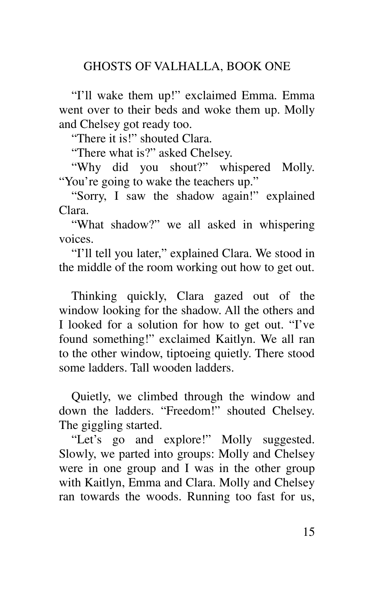"I'll wake them up!" exclaimed Emma. Emma went over to their beds and woke them up. Molly and Chelsey got ready too.

"There it is!" shouted Clara.

"There what is?" asked Chelsey.

"Why did you shout?" whispered Molly. "You're going to wake the teachers up."

"Sorry, I saw the shadow again!" explained Clara.

"What shadow?" we all asked in whispering voices.

"I'll tell you later," explained Clara. We stood in the middle of the room working out how to get out.

Thinking quickly, Clara gazed out of the window looking for the shadow. All the others and I looked for a solution for how to get out. "I've found something!" exclaimed Kaitlyn. We all ran to the other window, tiptoeing quietly. There stood some ladders. Tall wooden ladders.

Quietly, we climbed through the window and down the ladders. "Freedom!" shouted Chelsey. The giggling started.

"Let's go and explore!" Molly suggested. Slowly, we parted into groups: Molly and Chelsey were in one group and I was in the other group with Kaitlyn, Emma and Clara. Molly and Chelsey ran towards the woods. Running too fast for us,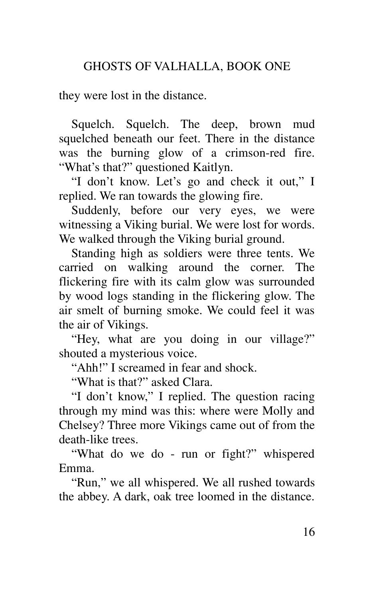they were lost in the distance.

Squelch. Squelch. The deep, brown mud squelched beneath our feet. There in the distance was the burning glow of a crimson-red fire. "What's that?" questioned Kaitlyn.

"I don't know. Let's go and check it out," I replied. We ran towards the glowing fire.

Suddenly, before our very eyes, we were witnessing a Viking burial. We were lost for words. We walked through the Viking burial ground.

Standing high as soldiers were three tents. We carried on walking around the corner. The flickering fire with its calm glow was surrounded by wood logs standing in the flickering glow. The air smelt of burning smoke. We could feel it was the air of Vikings.

"Hey, what are you doing in our village?" shouted a mysterious voice.

"Ahh!" I screamed in fear and shock.

"What is that?" asked Clara.

"I don't know," I replied. The question racing through my mind was this: where were Molly and Chelsey? Three more Vikings came out of from the death-like trees.

"What do we do - run or fight?" whispered Emma.

"Run," we all whispered. We all rushed towards the abbey. A dark, oak tree loomed in the distance.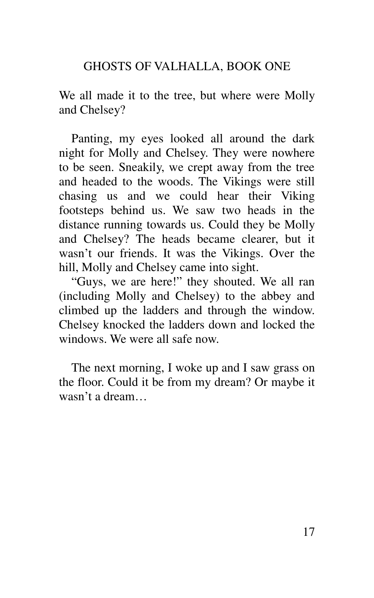We all made it to the tree, but where were Molly and Chelsey?

Panting, my eyes looked all around the dark night for Molly and Chelsey. They were nowhere to be seen. Sneakily, we crept away from the tree and headed to the woods. The Vikings were still chasing us and we could hear their Viking footsteps behind us. We saw two heads in the distance running towards us. Could they be Molly and Chelsey? The heads became clearer, but it wasn't our friends. It was the Vikings. Over the hill, Molly and Chelsey came into sight.

"Guys, we are here!" they shouted. We all ran (including Molly and Chelsey) to the abbey and climbed up the ladders and through the window. Chelsey knocked the ladders down and locked the windows. We were all safe now.

The next morning, I woke up and I saw grass on the floor. Could it be from my dream? Or maybe it wasn't a dream…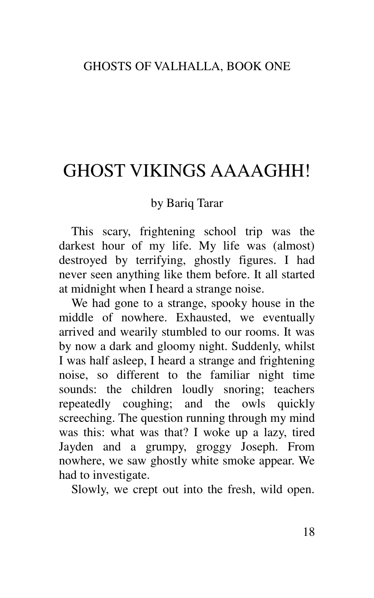## GHOST VIKINGS AAAAGHH!

#### by Bariq Tarar

This scary, frightening school trip was the darkest hour of my life. My life was (almost) destroyed by terrifying, ghostly figures. I had never seen anything like them before. It all started at midnight when I heard a strange noise.

We had gone to a strange, spooky house in the middle of nowhere. Exhausted, we eventually arrived and wearily stumbled to our rooms. It was by now a dark and gloomy night. Suddenly, whilst I was half asleep, I heard a strange and frightening noise, so different to the familiar night time sounds: the children loudly snoring; teachers repeatedly coughing; and the owls quickly screeching. The question running through my mind was this: what was that? I woke up a lazy, tired Jayden and a grumpy, groggy Joseph. From nowhere, we saw ghostly white smoke appear. We had to investigate.

Slowly, we crept out into the fresh, wild open.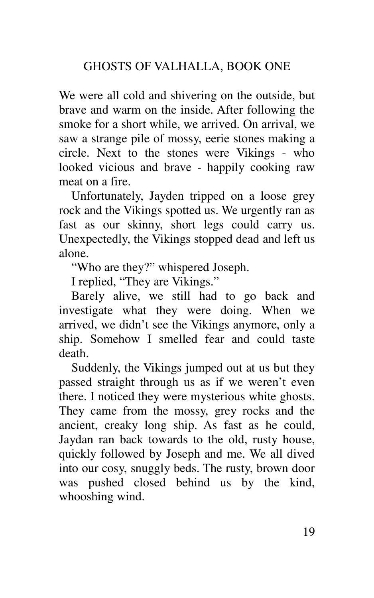We were all cold and shivering on the outside, but brave and warm on the inside. After following the smoke for a short while, we arrived. On arrival, we saw a strange pile of mossy, eerie stones making a circle. Next to the stones were Vikings - who looked vicious and brave - happily cooking raw meat on a fire.

Unfortunately, Jayden tripped on a loose grey rock and the Vikings spotted us. We urgently ran as fast as our skinny, short legs could carry us. Unexpectedly, the Vikings stopped dead and left us alone.

"Who are they?" whispered Joseph.

I replied, "They are Vikings."

Barely alive, we still had to go back and investigate what they were doing. When we arrived, we didn't see the Vikings anymore, only a ship. Somehow I smelled fear and could taste death.

Suddenly, the Vikings jumped out at us but they passed straight through us as if we weren't even there. I noticed they were mysterious white ghosts. They came from the mossy, grey rocks and the ancient, creaky long ship. As fast as he could, Jaydan ran back towards to the old, rusty house, quickly followed by Joseph and me. We all dived into our cosy, snuggly beds. The rusty, brown door was pushed closed behind us by the kind, whooshing wind.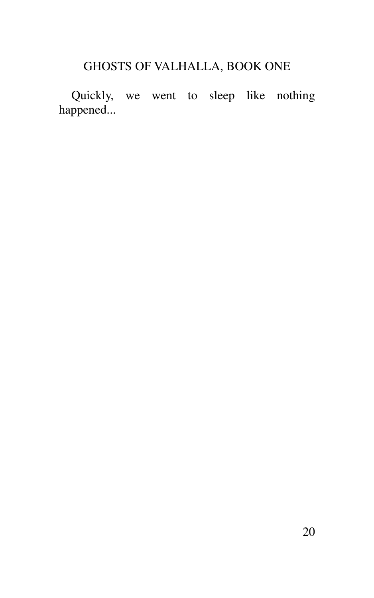Quickly, we went to sleep like nothing happened...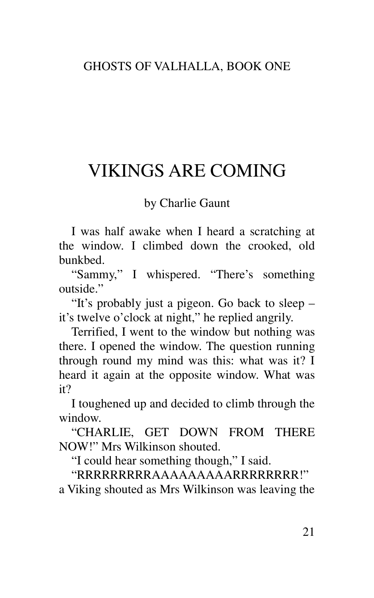## VIKINGS ARE COMING

by Charlie Gaunt

I was half awake when I heard a scratching at the window. I climbed down the crooked, old bunkbed.

"Sammy," I whispered. "There's something outside."

"It's probably just a pigeon. Go back to sleep – it's twelve o'clock at night," he replied angrily.

Terrified, I went to the window but nothing was there. I opened the window. The question running through round my mind was this: what was it? I heard it again at the opposite window. What was it?

I toughened up and decided to climb through the window.

"CHARLIE, GET DOWN FROM THERE NOW!" Mrs Wilkinson shouted.

"I could hear something though," I said.

"RRRRRRRRRAAAAAAAAARRRRRRRR!" a Viking shouted as Mrs Wilkinson was leaving the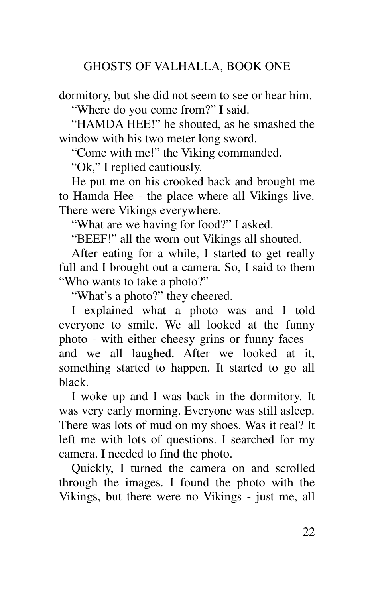dormitory, but she did not seem to see or hear him. "Where do you come from?" I said.

"HAMDA HEE!" he shouted, as he smashed the window with his two meter long sword.

"Come with me!" the Viking commanded.

"Ok," I replied cautiously.

He put me on his crooked back and brought me to Hamda Hee - the place where all Vikings live. There were Vikings everywhere.

"What are we having for food?" I asked.

"BEEF!" all the worn-out Vikings all shouted.

After eating for a while, I started to get really full and I brought out a camera. So, I said to them "Who wants to take a photo?"

"What's a photo?" they cheered.

I explained what a photo was and I told everyone to smile. We all looked at the funny photo - with either cheesy grins or funny faces – and we all laughed. After we looked at it, something started to happen. It started to go all black.

I woke up and I was back in the dormitory. It was very early morning. Everyone was still asleep. There was lots of mud on my shoes. Was it real? It left me with lots of questions. I searched for my camera. I needed to find the photo.

Quickly, I turned the camera on and scrolled through the images. I found the photo with the Vikings, but there were no Vikings - just me, all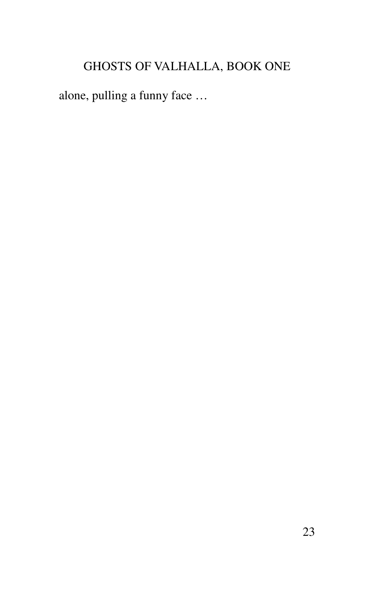alone, pulling a funny face …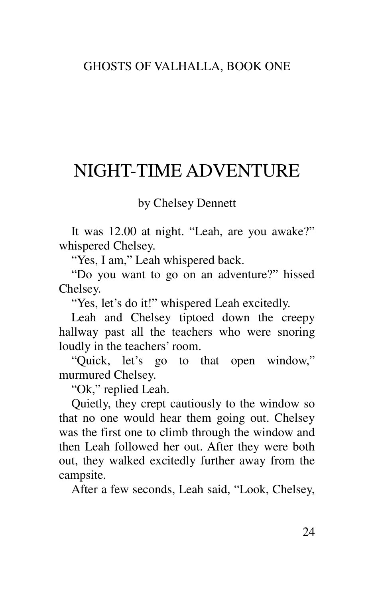### NIGHT-TIME ADVENTURE

by Chelsey Dennett

It was 12.00 at night. "Leah, are you awake?" whispered Chelsey.

"Yes, I am," Leah whispered back.

"Do you want to go on an adventure?" hissed Chelsey.

"Yes, let's do it!" whispered Leah excitedly.

Leah and Chelsey tiptoed down the creepy hallway past all the teachers who were snoring loudly in the teachers' room.

"Quick, let's go to that open window," murmured Chelsey.

"Ok," replied Leah.

Quietly, they crept cautiously to the window so that no one would hear them going out. Chelsey was the first one to climb through the window and then Leah followed her out. After they were both out, they walked excitedly further away from the campsite.

After a few seconds, Leah said, "Look, Chelsey,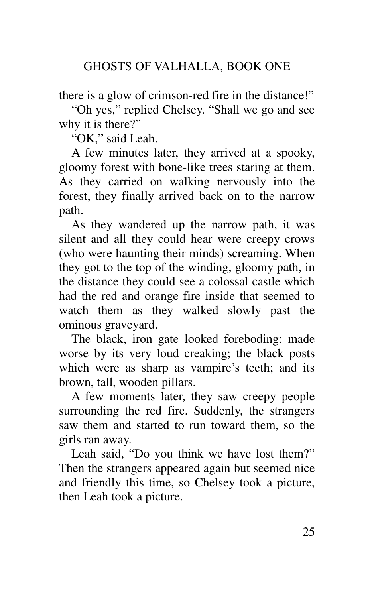there is a glow of crimson-red fire in the distance!"

"Oh yes," replied Chelsey. "Shall we go and see why it is there?"

"OK," said Leah.

A few minutes later, they arrived at a spooky, gloomy forest with bone-like trees staring at them. As they carried on walking nervously into the forest, they finally arrived back on to the narrow path.

As they wandered up the narrow path, it was silent and all they could hear were creepy crows (who were haunting their minds) screaming. When they got to the top of the winding, gloomy path, in the distance they could see a colossal castle which had the red and orange fire inside that seemed to watch them as they walked slowly past the ominous graveyard.

The black, iron gate looked foreboding: made worse by its very loud creaking; the black posts which were as sharp as vampire's teeth; and its brown, tall, wooden pillars.

A few moments later, they saw creepy people surrounding the red fire. Suddenly, the strangers saw them and started to run toward them, so the girls ran away.

Leah said, "Do you think we have lost them?" Then the strangers appeared again but seemed nice and friendly this time, so Chelsey took a picture, then Leah took a picture.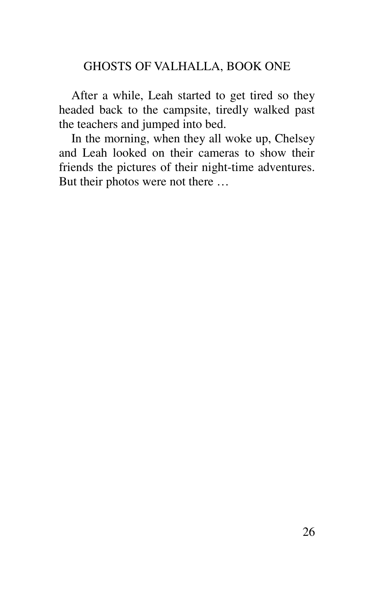After a while, Leah started to get tired so they headed back to the campsite, tiredly walked past the teachers and jumped into bed.

In the morning, when they all woke up, Chelsey and Leah looked on their cameras to show their friends the pictures of their night-time adventures. But their photos were not there …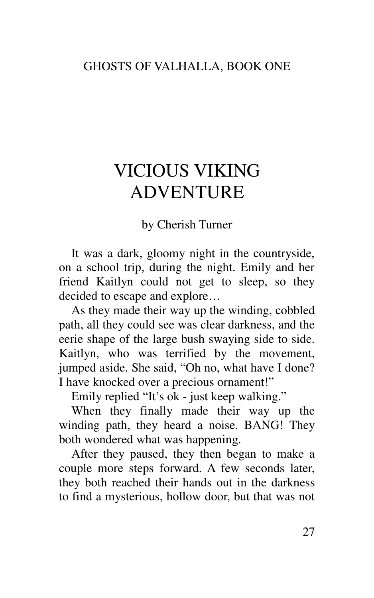# VICIOUS VIKING ADVENTURE

#### by Cherish Turner

It was a dark, gloomy night in the countryside, on a school trip, during the night. Emily and her friend Kaitlyn could not get to sleep, so they decided to escape and explore…

As they made their way up the winding, cobbled path, all they could see was clear darkness, and the eerie shape of the large bush swaying side to side. Kaitlyn, who was terrified by the movement, jumped aside. She said, "Oh no, what have I done? I have knocked over a precious ornament!"

Emily replied "It's ok - just keep walking."

When they finally made their way up the winding path, they heard a noise. BANG! They both wondered what was happening.

After they paused, they then began to make a couple more steps forward. A few seconds later, they both reached their hands out in the darkness to find a mysterious, hollow door, but that was not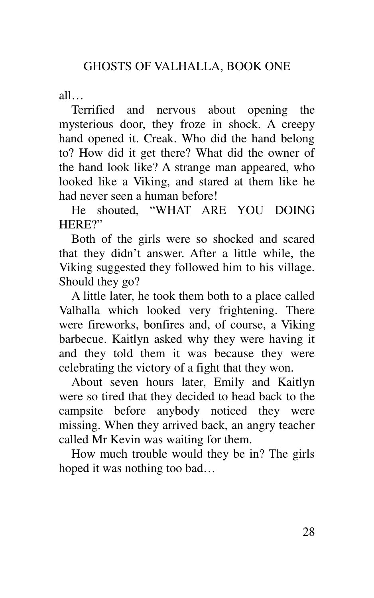all…

Terrified and nervous about opening the mysterious door, they froze in shock. A creepy hand opened it. Creak. Who did the hand belong to? How did it get there? What did the owner of the hand look like? A strange man appeared, who looked like a Viking, and stared at them like he had never seen a human before!

He shouted, "WHAT ARE YOU DOING HERE?"

Both of the girls were so shocked and scared that they didn't answer. After a little while, the Viking suggested they followed him to his village. Should they go?

A little later, he took them both to a place called Valhalla which looked very frightening. There were fireworks, bonfires and, of course, a Viking barbecue. Kaitlyn asked why they were having it and they told them it was because they were celebrating the victory of a fight that they won.

About seven hours later, Emily and Kaitlyn were so tired that they decided to head back to the campsite before anybody noticed they were missing. When they arrived back, an angry teacher called Mr Kevin was waiting for them.

How much trouble would they be in? The girls hoped it was nothing too bad…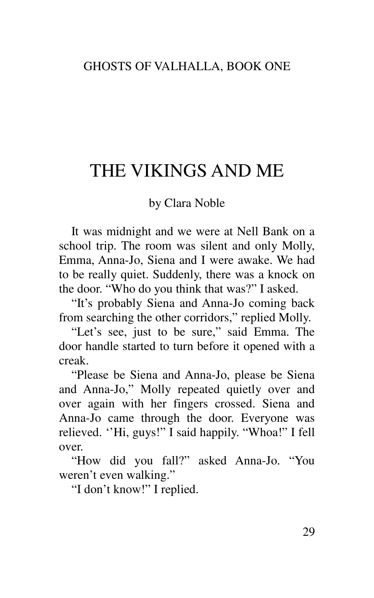# THE VIKINGS AND ME

### by Clara Noble

It was midnight and we were at Nell Bank on a school trip. The room was silent and only Molly, Emma, Anna-Jo, Siena and I were awake. We had to be really quiet. Suddenly, there was a knock on the door. "Who do you think that was?" I asked.

"It's probably Siena and Anna-Jo coming back from searching the other corridors," replied Molly.

"Let's see, just to be sure," said Emma. The door handle started to turn before it opened with a creak.

"Please be Siena and Anna-Jo, please be Siena and Anna-Jo," Molly repeated quietly over and over again with her fingers crossed. Siena and Anna-Jo came through the door. Everyone was relieved. ''Hi, guys!" I said happily. "Whoa!" I fell over.

"How did you fall?" asked Anna-Jo. "You weren't even walking."

"I don't know!" I replied.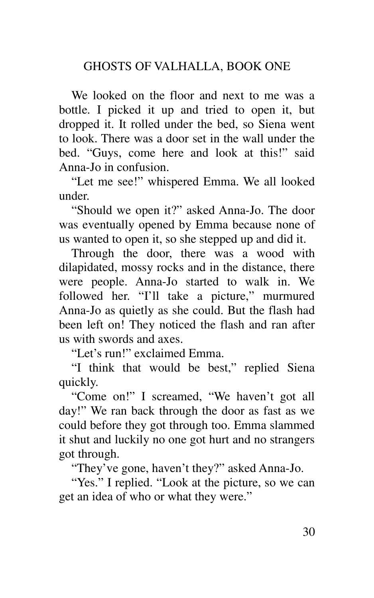We looked on the floor and next to me was a bottle. I picked it up and tried to open it, but dropped it. It rolled under the bed, so Siena went to look. There was a door set in the wall under the bed. "Guys, come here and look at this!" said Anna-Jo in confusion.

"Let me see!" whispered Emma. We all looked under.

"Should we open it?" asked Anna-Jo. The door was eventually opened by Emma because none of us wanted to open it, so she stepped up and did it.

Through the door, there was a wood with dilapidated, mossy rocks and in the distance, there were people. Anna-Jo started to walk in. We followed her. "I'll take a picture," murmured Anna-Jo as quietly as she could. But the flash had been left on! They noticed the flash and ran after us with swords and axes.

"Let's run!" exclaimed Emma.

"I think that would be best," replied Siena quickly.

"Come on!" I screamed, "We haven't got all day!" We ran back through the door as fast as we could before they got through too. Emma slammed it shut and luckily no one got hurt and no strangers got through.

"They've gone, haven't they?" asked Anna-Jo.

"Yes." I replied. "Look at the picture, so we can get an idea of who or what they were."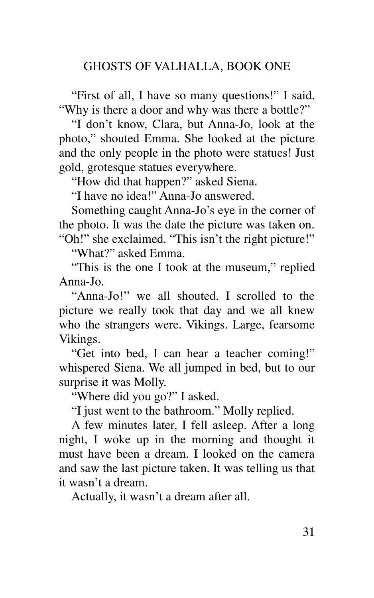"First of all, I have so many questions!" I said. "Why is there a door and why was there a bottle?"

"I don't know, Clara, but Anna-Jo, look at the photo," shouted Emma. She looked at the picture and the only people in the photo were statues! Just gold, grotesque statues everywhere.

"How did that happen?" asked Siena.

"I have no idea!" Anna-Jo answered.

Something caught Anna-Jo's eye in the corner of the photo. It was the date the picture was taken on. "Oh!" she exclaimed. "This isn't the right picture!"

"What?" asked Emma.

"This is the one I took at the museum," replied Anna-Jo.

"Anna-Jo!'' we all shouted. I scrolled to the picture we really took that day and we all knew who the strangers were. Vikings. Large, fearsome Vikings.

"Get into bed, I can hear a teacher coming!" whispered Siena. We all jumped in bed, but to our surprise it was Molly.

"Where did you go?" I asked.

"I just went to the bathroom." Molly replied.

A few minutes later, I fell asleep. After a long night, I woke up in the morning and thought it must have been a dream. I looked on the camera and saw the last picture taken. It was telling us that it wasn't a dream.

Actually, it wasn't a dream after all.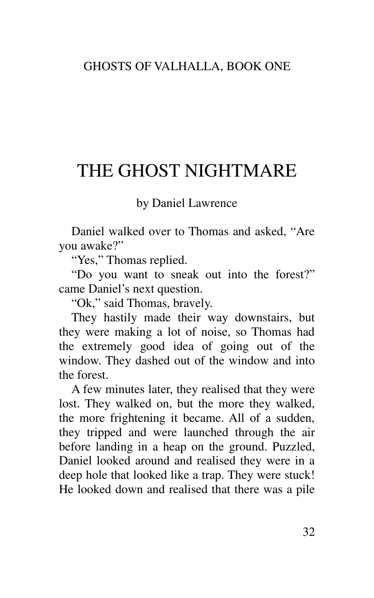### THE GHOST NIGHTMARE

by Daniel Lawrence

Daniel walked over to Thomas and asked, "Are you awake?"

"Yes," Thomas replied.

"Do you want to sneak out into the forest?" came Daniel's next question.

"Ok," said Thomas, bravely.

They hastily made their way downstairs, but they were making a lot of noise, so Thomas had the extremely good idea of going out of the window. They dashed out of the window and into the forest.

A few minutes later, they realised that they were lost. They walked on, but the more they walked, the more frightening it became. All of a sudden, they tripped and were launched through the air before landing in a heap on the ground. Puzzled, Daniel looked around and realised they were in a deep hole that looked like a trap. They were stuck! He looked down and realised that there was a pile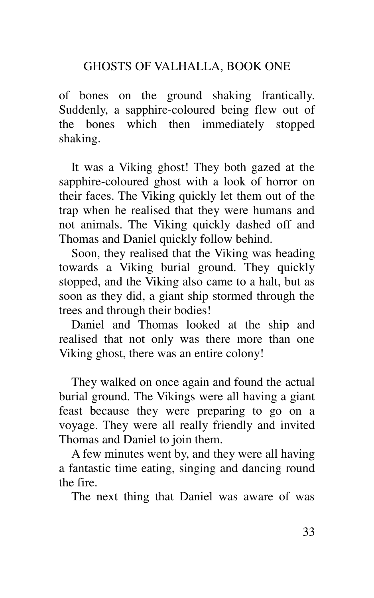of bones on the ground shaking frantically. Suddenly, a sapphire-coloured being flew out of the bones which then immediately stopped shaking.

It was a Viking ghost! They both gazed at the sapphire-coloured ghost with a look of horror on their faces. The Viking quickly let them out of the trap when he realised that they were humans and not animals. The Viking quickly dashed off and Thomas and Daniel quickly follow behind.

Soon, they realised that the Viking was heading towards a Viking burial ground. They quickly stopped, and the Viking also came to a halt, but as soon as they did, a giant ship stormed through the trees and through their bodies!

Daniel and Thomas looked at the ship and realised that not only was there more than one Viking ghost, there was an entire colony!

They walked on once again and found the actual burial ground. The Vikings were all having a giant feast because they were preparing to go on a voyage. They were all really friendly and invited Thomas and Daniel to join them.

A few minutes went by, and they were all having a fantastic time eating, singing and dancing round the fire.

The next thing that Daniel was aware of was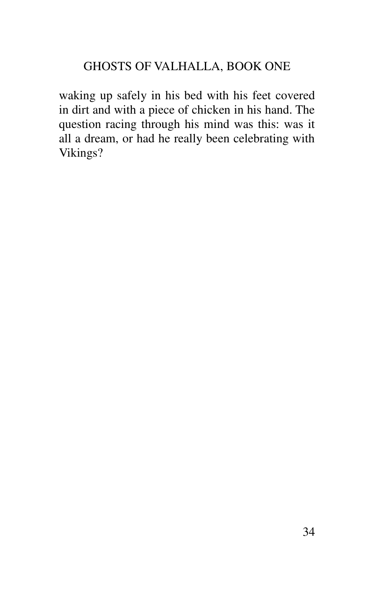waking up safely in his bed with his feet covered in dirt and with a piece of chicken in his hand. The question racing through his mind was this: was it all a dream, or had he really been celebrating with Vikings?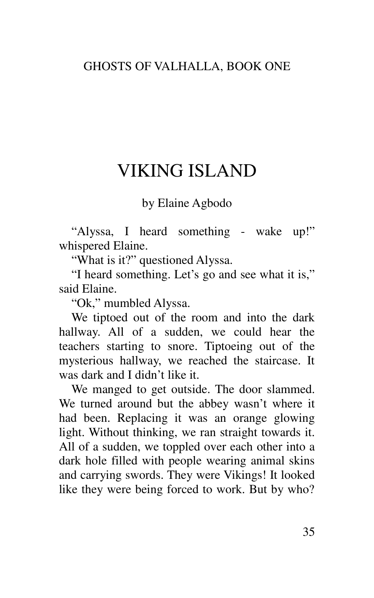## VIKING ISLAND

#### by Elaine Agbodo

"Alyssa, I heard something - wake up!" whispered Elaine.

"What is it?" questioned Alyssa.

"I heard something. Let's go and see what it is," said Elaine.

"Ok," mumbled Alyssa.

We tiptoed out of the room and into the dark hallway. All of a sudden, we could hear the teachers starting to snore. Tiptoeing out of the mysterious hallway, we reached the staircase. It was dark and I didn't like it.

We manged to get outside. The door slammed. We turned around but the abbey wasn't where it had been. Replacing it was an orange glowing light. Without thinking, we ran straight towards it. All of a sudden, we toppled over each other into a dark hole filled with people wearing animal skins and carrying swords. They were Vikings! It looked like they were being forced to work. But by who?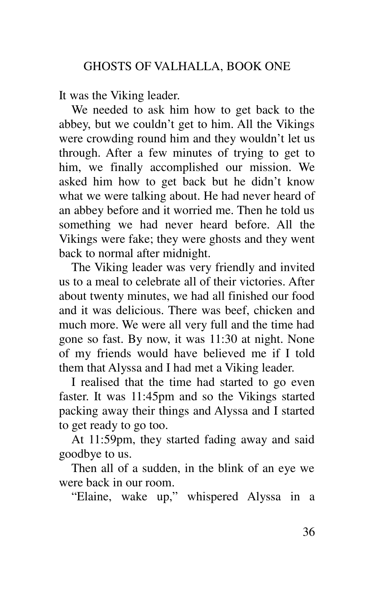It was the Viking leader.

We needed to ask him how to get back to the abbey, but we couldn't get to him. All the Vikings were crowding round him and they wouldn't let us through. After a few minutes of trying to get to him, we finally accomplished our mission. We asked him how to get back but he didn't know what we were talking about. He had never heard of an abbey before and it worried me. Then he told us something we had never heard before. All the Vikings were fake; they were ghosts and they went back to normal after midnight.

The Viking leader was very friendly and invited us to a meal to celebrate all of their victories. After about twenty minutes, we had all finished our food and it was delicious. There was beef, chicken and much more. We were all very full and the time had gone so fast. By now, it was 11:30 at night. None of my friends would have believed me if I told them that Alyssa and I had met a Viking leader.

I realised that the time had started to go even faster. It was 11:45pm and so the Vikings started packing away their things and Alyssa and I started to get ready to go too.

At 11:59pm, they started fading away and said goodbye to us.

Then all of a sudden, in the blink of an eye we were back in our room.

"Elaine, wake up," whispered Alyssa in a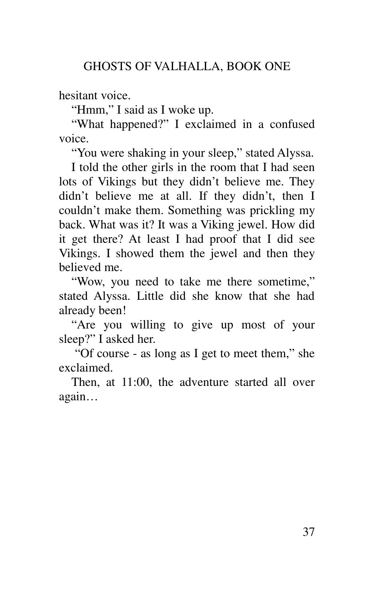hesitant voice.

"Hmm," I said as I woke up.

"What happened?" I exclaimed in a confused voice.

"You were shaking in your sleep," stated Alyssa.

I told the other girls in the room that I had seen lots of Vikings but they didn't believe me. They didn't believe me at all. If they didn't, then I couldn't make them. Something was prickling my back. What was it? It was a Viking jewel. How did it get there? At least I had proof that I did see Vikings. I showed them the jewel and then they believed me.

"Wow, you need to take me there sometime," stated Alyssa. Little did she know that she had already been!

"Are you willing to give up most of your sleep?" I asked her.

 "Of course - as long as I get to meet them," she exclaimed.

Then, at 11:00, the adventure started all over again…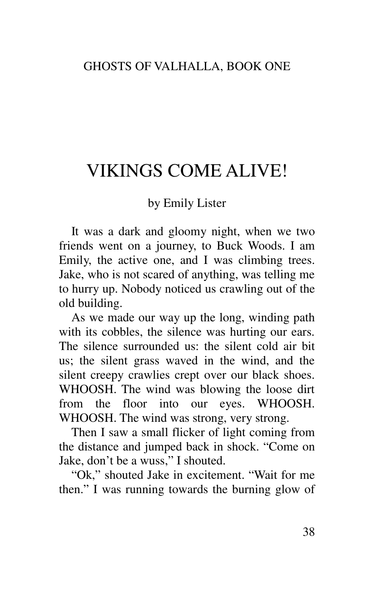# VIKINGS COME ALIVE!

## by Emily Lister

It was a dark and gloomy night, when we two friends went on a journey, to Buck Woods. I am Emily, the active one, and I was climbing trees. Jake, who is not scared of anything, was telling me to hurry up. Nobody noticed us crawling out of the old building.

As we made our way up the long, winding path with its cobbles, the silence was hurting our ears. The silence surrounded us: the silent cold air bit us; the silent grass waved in the wind, and the silent creepy crawlies crept over our black shoes. WHOOSH. The wind was blowing the loose dirt from the floor into our eyes. WHOOSH. WHOOSH. The wind was strong, very strong.

Then I saw a small flicker of light coming from the distance and jumped back in shock. "Come on Jake, don't be a wuss," I shouted.

"Ok," shouted Jake in excitement. "Wait for me then." I was running towards the burning glow of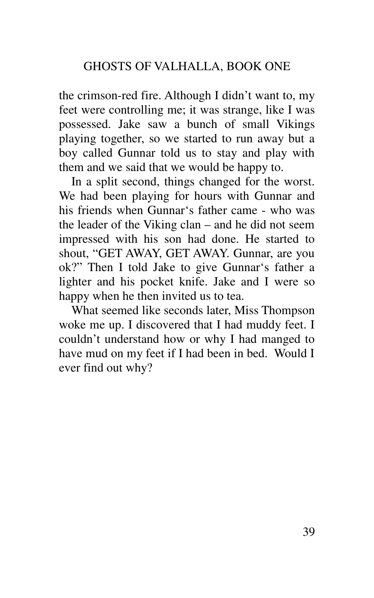the crimson-red fire. Although I didn't want to, my feet were controlling me; it was strange, like I was possessed. Jake saw a bunch of small Vikings playing together, so we started to run away but a boy called Gunnar told us to stay and play with them and we said that we would be happy to.

In a split second, things changed for the worst. We had been playing for hours with Gunnar and his friends when Gunnar's father came - who was the leader of the Viking clan – and he did not seem impressed with his son had done. He started to shout, "GET AWAY, GET AWAY. Gunnar, are you ok?" Then I told Jake to give Gunnar's father a lighter and his pocket knife. Jake and I were so happy when he then invited us to tea.

What seemed like seconds later, Miss Thompson woke me up. I discovered that I had muddy feet. I couldn't understand how or why I had manged to have mud on my feet if I had been in bed. Would I ever find out why?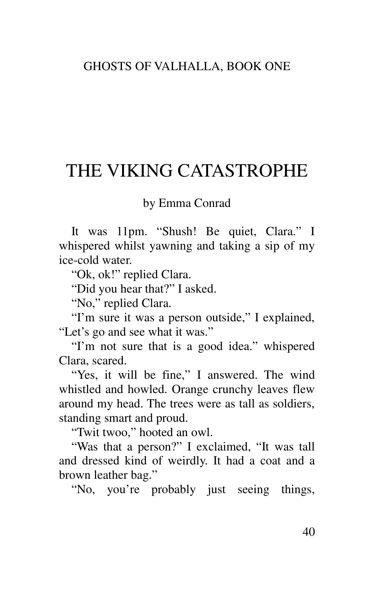## THE VIKING CATASTROPHE

by Emma Conrad

It was 11pm. "Shush! Be quiet, Clara." I whispered whilst yawning and taking a sip of my ice-cold water.

"Ok, ok!" replied Clara.

"Did you hear that?" I asked.

"No," replied Clara.

"I'm sure it was a person outside," I explained, "Let's go and see what it was."

"I'm not sure that is a good idea." whispered Clara, scared.

"Yes, it will be fine," I answered. The wind whistled and howled. Orange crunchy leaves flew around my head. The trees were as tall as soldiers, standing smart and proud.

"Twit twoo," hooted an owl.

"Was that a person?" I exclaimed, "It was tall and dressed kind of weirdly. It had a coat and a brown leather bag."

"No, you're probably just seeing things,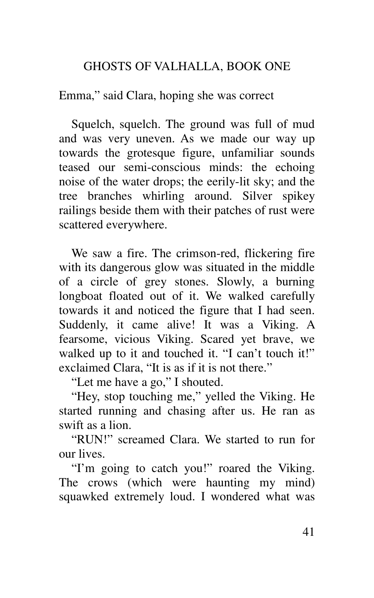Emma," said Clara, hoping she was correct

Squelch, squelch. The ground was full of mud and was very uneven. As we made our way up towards the grotesque figure, unfamiliar sounds teased our semi-conscious minds: the echoing noise of the water drops; the eerily-lit sky; and the tree branches whirling around. Silver spikey railings beside them with their patches of rust were scattered everywhere.

We saw a fire. The crimson-red, flickering fire with its dangerous glow was situated in the middle of a circle of grey stones. Slowly, a burning longboat floated out of it. We walked carefully towards it and noticed the figure that I had seen. Suddenly, it came alive! It was a Viking. A fearsome, vicious Viking. Scared yet brave, we walked up to it and touched it. "I can't touch it!" exclaimed Clara, "It is as if it is not there."

"Let me have a go," I shouted.

"Hey, stop touching me," yelled the Viking. He started running and chasing after us. He ran as swift as a lion.

"RUN!" screamed Clara. We started to run for our lives.

"I'm going to catch you!" roared the Viking. The crows (which were haunting my mind) squawked extremely loud. I wondered what was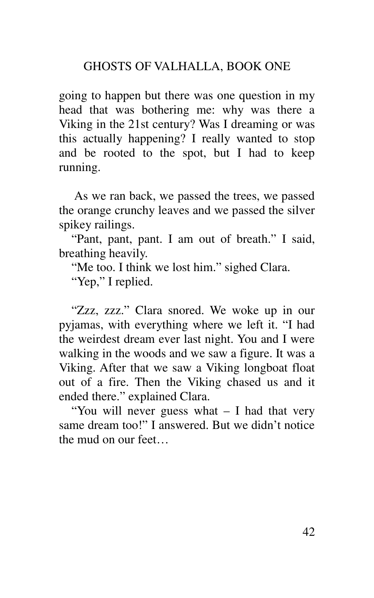going to happen but there was one question in my head that was bothering me: why was there a Viking in the 21st century? Was I dreaming or was this actually happening? I really wanted to stop and be rooted to the spot, but I had to keep running.

 As we ran back, we passed the trees, we passed the orange crunchy leaves and we passed the silver spikey railings.

"Pant, pant, pant. I am out of breath." I said, breathing heavily.

"Me too. I think we lost him." sighed Clara.

"Yep," I replied.

"Zzz, zzz." Clara snored. We woke up in our pyjamas, with everything where we left it. "I had the weirdest dream ever last night. You and I were walking in the woods and we saw a figure. It was a Viking. After that we saw a Viking longboat float out of a fire. Then the Viking chased us and it ended there." explained Clara.

"You will never guess what – I had that very same dream too!" I answered. But we didn't notice the mud on our feet…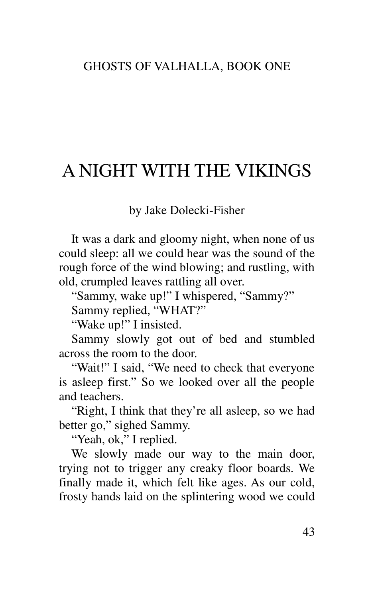# A NIGHT WITH THE VIKINGS

#### by Jake Dolecki-Fisher

It was a dark and gloomy night, when none of us could sleep: all we could hear was the sound of the rough force of the wind blowing; and rustling, with old, crumpled leaves rattling all over.

"Sammy, wake up!" I whispered, "Sammy?"

Sammy replied, "WHAT?"

"Wake up!" I insisted.

Sammy slowly got out of bed and stumbled across the room to the door.

"Wait!" I said, "We need to check that everyone" is asleep first." So we looked over all the people and teachers.

"Right, I think that they're all asleep, so we had better go," sighed Sammy.

"Yeah, ok," I replied.

We slowly made our way to the main door, trying not to trigger any creaky floor boards. We finally made it, which felt like ages. As our cold, frosty hands laid on the splintering wood we could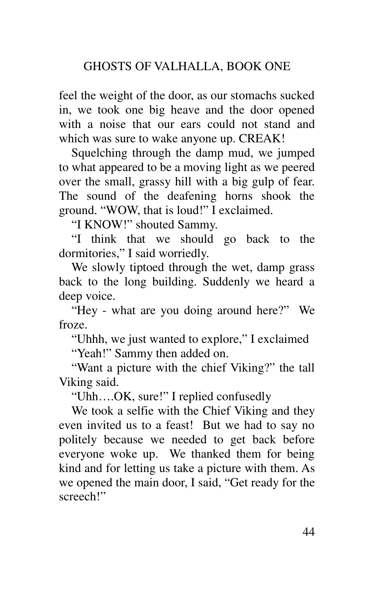feel the weight of the door, as our stomachs sucked in, we took one big heave and the door opened with a noise that our ears could not stand and which was sure to wake anyone up. CREAK!

Squelching through the damp mud, we jumped to what appeared to be a moving light as we peered over the small, grassy hill with a big gulp of fear. The sound of the deafening horns shook the ground. "WOW, that is loud!" I exclaimed.

"I KNOW!" shouted Sammy.

"I think that we should go back to the dormitories," I said worriedly.

We slowly tiptoed through the wet, damp grass back to the long building. Suddenly we heard a deep voice.

"Hey - what are you doing around here?" We froze.

"Uhhh, we just wanted to explore," I exclaimed "Yeah!" Sammy then added on.

"Want a picture with the chief Viking?" the tall Viking said.

"Uhh….OK, sure!" I replied confusedly

We took a selfie with the Chief Viking and they even invited us to a feast! But we had to say no politely because we needed to get back before everyone woke up. We thanked them for being kind and for letting us take a picture with them. As we opened the main door, I said, "Get ready for the screech!"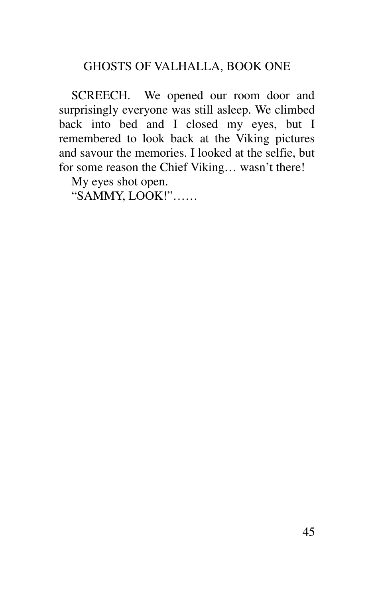## GHOSTS OF VALHALLA, BOOK ONE

SCREECH. We opened our room door and surprisingly everyone was still asleep. We climbed back into bed and I closed my eyes, but I remembered to look back at the Viking pictures and savour the memories. I looked at the selfie, but for some reason the Chief Viking… wasn't there!

My eyes shot open.

"SAMMY, LOOK!"……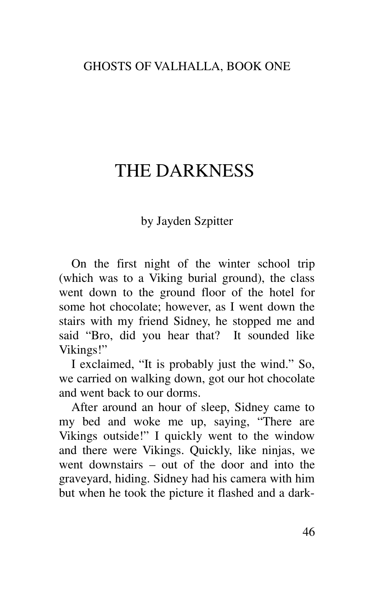# THE DARKNESS

## by Jayden Szpitter

On the first night of the winter school trip (which was to a Viking burial ground), the class went down to the ground floor of the hotel for some hot chocolate; however, as I went down the stairs with my friend Sidney, he stopped me and said "Bro, did you hear that? It sounded like Vikings!"

I exclaimed, "It is probably just the wind." So, we carried on walking down, got our hot chocolate and went back to our dorms.

After around an hour of sleep, Sidney came to my bed and woke me up, saying, "There are Vikings outside!" I quickly went to the window and there were Vikings. Quickly, like ninjas, we went downstairs – out of the door and into the graveyard, hiding. Sidney had his camera with him but when he took the picture it flashed and a dark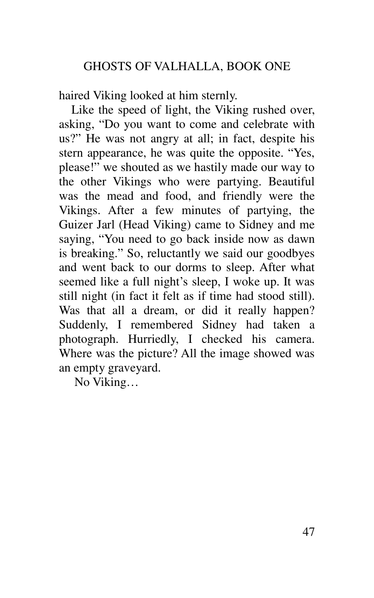haired Viking looked at him sternly.

Like the speed of light, the Viking rushed over, asking, "Do you want to come and celebrate with us?" He was not angry at all; in fact, despite his stern appearance, he was quite the opposite. "Yes, please!" we shouted as we hastily made our way to the other Vikings who were partying. Beautiful was the mead and food, and friendly were the Vikings. After a few minutes of partying, the Guizer Jarl (Head Viking) came to Sidney and me saying, "You need to go back inside now as dawn is breaking." So, reluctantly we said our goodbyes and went back to our dorms to sleep. After what seemed like a full night's sleep, I woke up. It was still night (in fact it felt as if time had stood still). Was that all a dream, or did it really happen? Suddenly, I remembered Sidney had taken a photograph. Hurriedly, I checked his camera. Where was the picture? All the image showed was an empty graveyard.

No Viking…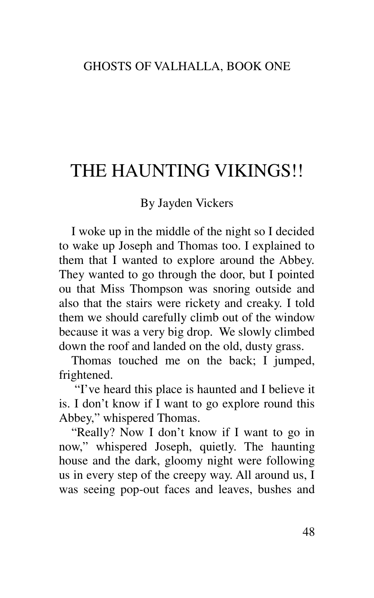# THE HAUNTING VIKINGS!!

### By Jayden Vickers

I woke up in the middle of the night so I decided to wake up Joseph and Thomas too. I explained to them that I wanted to explore around the Abbey. They wanted to go through the door, but I pointed ou that Miss Thompson was snoring outside and also that the stairs were rickety and creaky. I told them we should carefully climb out of the window because it was a very big drop. We slowly climbed down the roof and landed on the old, dusty grass.

Thomas touched me on the back; I jumped, frightened.

 "I've heard this place is haunted and I believe it is. I don't know if I want to go explore round this Abbey," whispered Thomas.

"Really? Now I don't know if I want to go in now," whispered Joseph, quietly. The haunting house and the dark, gloomy night were following us in every step of the creepy way. All around us, I was seeing pop-out faces and leaves, bushes and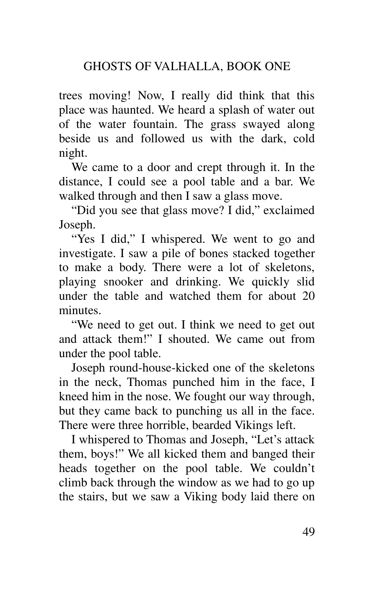trees moving! Now, I really did think that this place was haunted. We heard a splash of water out of the water fountain. The grass swayed along beside us and followed us with the dark, cold night.

We came to a door and crept through it. In the distance, I could see a pool table and a bar. We walked through and then I saw a glass move.

"Did you see that glass move? I did," exclaimed Joseph.

"Yes I did," I whispered. We went to go and investigate. I saw a pile of bones stacked together to make a body. There were a lot of skeletons, playing snooker and drinking. We quickly slid under the table and watched them for about 20 minutes.

"We need to get out. I think we need to get out and attack them!" I shouted. We came out from under the pool table.

Joseph round-house-kicked one of the skeletons in the neck, Thomas punched him in the face, I kneed him in the nose. We fought our way through, but they came back to punching us all in the face. There were three horrible, bearded Vikings left.

I whispered to Thomas and Joseph, "Let's attack them, boys!" We all kicked them and banged their heads together on the pool table. We couldn't climb back through the window as we had to go up the stairs, but we saw a Viking body laid there on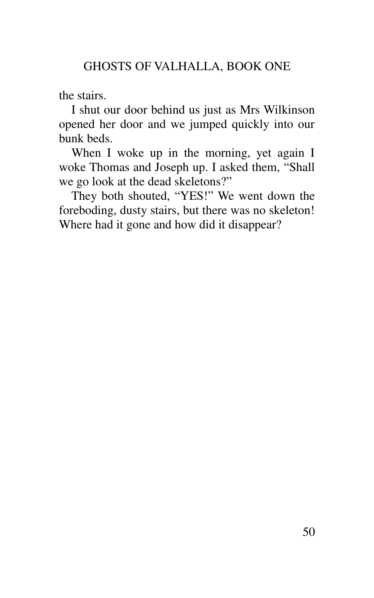the stairs.

I shut our door behind us just as Mrs Wilkinson opened her door and we jumped quickly into our bunk beds.

When I woke up in the morning, yet again I woke Thomas and Joseph up. I asked them, "Shall we go look at the dead skeletons?"

They both shouted, "YES!" We went down the foreboding, dusty stairs, but there was no skeleton! Where had it gone and how did it disappear?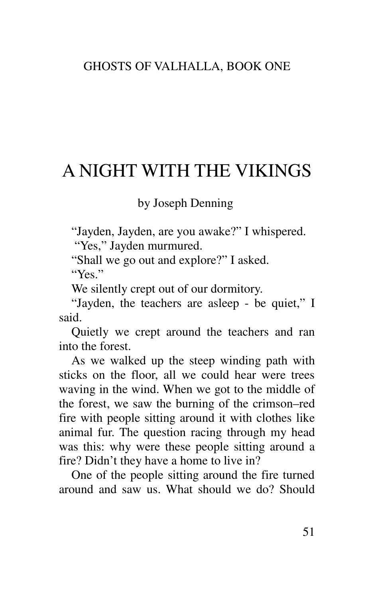### GHOSTS OF VALHALLA, BOOK ONE

## A NIGHT WITH THE VIKINGS

by Joseph Denning

"Jayden, Jayden, are you awake?" I whispered.

"Yes," Jayden murmured.

"Shall we go out and explore?" I asked. "Yes."

We silently crept out of our dormitory.

"Jayden, the teachers are asleep - be quiet," I said.

Quietly we crept around the teachers and ran into the forest.

As we walked up the steep winding path with sticks on the floor, all we could hear were trees waving in the wind. When we got to the middle of the forest, we saw the burning of the crimson–red fire with people sitting around it with clothes like animal fur. The question racing through my head was this: why were these people sitting around a fire? Didn't they have a home to live in?

One of the people sitting around the fire turned around and saw us. What should we do? Should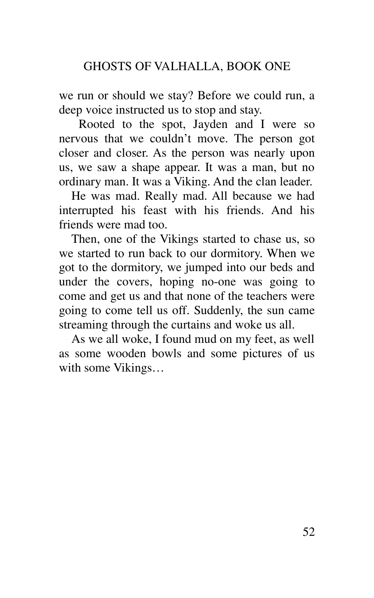we run or should we stay? Before we could run, a deep voice instructed us to stop and stay.

 Rooted to the spot, Jayden and I were so nervous that we couldn't move. The person got closer and closer. As the person was nearly upon us, we saw a shape appear. It was a man, but no ordinary man. It was a Viking. And the clan leader.

He was mad. Really mad. All because we had interrupted his feast with his friends. And his friends were mad too.

Then, one of the Vikings started to chase us, so we started to run back to our dormitory. When we got to the dormitory, we jumped into our beds and under the covers, hoping no-one was going to come and get us and that none of the teachers were going to come tell us off. Suddenly, the sun came streaming through the curtains and woke us all.

As we all woke, I found mud on my feet, as well as some wooden bowls and some pictures of us with some Vikings…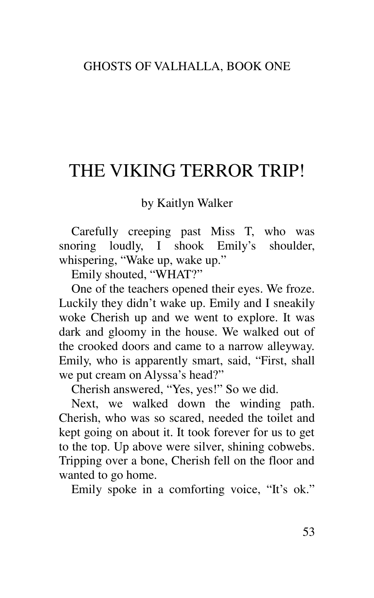## THE VIKING TERROR TRIP!

by Kaitlyn Walker

Carefully creeping past Miss T, who was snoring loudly, I shook Emily's shoulder, whispering, "Wake up, wake up."

Emily shouted, "WHAT?"

One of the teachers opened their eyes. We froze. Luckily they didn't wake up. Emily and I sneakily woke Cherish up and we went to explore. It was dark and gloomy in the house. We walked out of the crooked doors and came to a narrow alleyway. Emily, who is apparently smart, said, "First, shall we put cream on Alyssa's head?"

Cherish answered, "Yes, yes!" So we did.

Next, we walked down the winding path. Cherish, who was so scared, needed the toilet and kept going on about it. It took forever for us to get to the top. Up above were silver, shining cobwebs. Tripping over a bone, Cherish fell on the floor and wanted to go home.

Emily spoke in a comforting voice, "It's ok."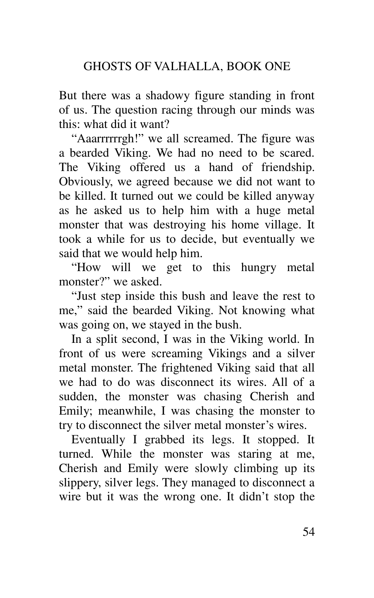But there was a shadowy figure standing in front of us. The question racing through our minds was this: what did it want?

"Aaarrrrrrgh!" we all screamed. The figure was a bearded Viking. We had no need to be scared. The Viking offered us a hand of friendship. Obviously, we agreed because we did not want to be killed. It turned out we could be killed anyway as he asked us to help him with a huge metal monster that was destroying his home village. It took a while for us to decide, but eventually we said that we would help him.

"How will we get to this hungry metal monster?" we asked.

"Just step inside this bush and leave the rest to me," said the bearded Viking. Not knowing what was going on, we stayed in the bush.

In a split second, I was in the Viking world. In front of us were screaming Vikings and a silver metal monster. The frightened Viking said that all we had to do was disconnect its wires. All of a sudden, the monster was chasing Cherish and Emily; meanwhile, I was chasing the monster to try to disconnect the silver metal monster's wires.

Eventually I grabbed its legs. It stopped. It turned. While the monster was staring at me, Cherish and Emily were slowly climbing up its slippery, silver legs. They managed to disconnect a wire but it was the wrong one. It didn't stop the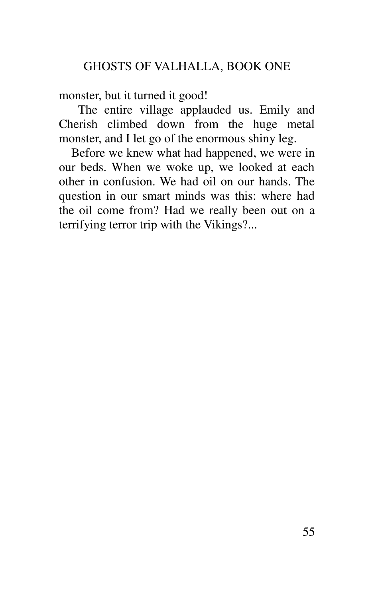monster, but it turned it good!

 The entire village applauded us. Emily and Cherish climbed down from the huge metal monster, and I let go of the enormous shiny leg.

Before we knew what had happened, we were in our beds. When we woke up, we looked at each other in confusion. We had oil on our hands. The question in our smart minds was this: where had the oil come from? Had we really been out on a terrifying terror trip with the Vikings?...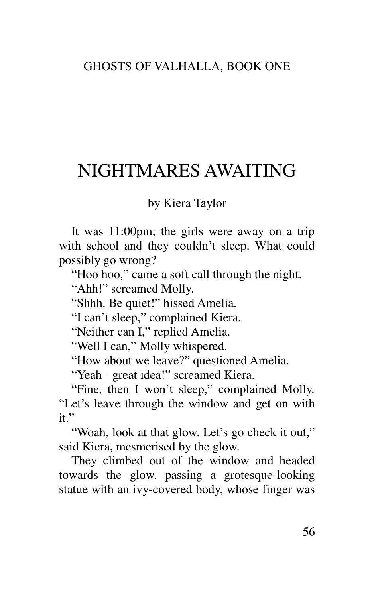# NIGHTMARES AWAITING

by Kiera Taylor

It was 11:00pm; the girls were away on a trip with school and they couldn't sleep. What could possibly go wrong?

"Hoo hoo," came a soft call through the night.

"Ahh!" screamed Molly.

"Shhh. Be quiet!" hissed Amelia.

"I can't sleep," complained Kiera.

"Neither can I," replied Amelia.

"Well I can," Molly whispered.

"How about we leave?" questioned Amelia.

"Yeah - great idea!" screamed Kiera.

"Fine, then I won't sleep," complained Molly. "Let's leave through the window and get on with it."

"Woah, look at that glow. Let's go check it out," said Kiera, mesmerised by the glow.

They climbed out of the window and headed towards the glow, passing a grotesque-looking statue with an ivy-covered body, whose finger was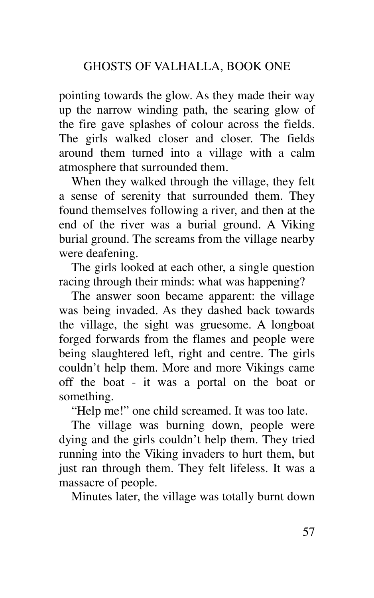pointing towards the glow. As they made their way up the narrow winding path, the searing glow of the fire gave splashes of colour across the fields. The girls walked closer and closer. The fields around them turned into a village with a calm atmosphere that surrounded them.

When they walked through the village, they felt a sense of serenity that surrounded them. They found themselves following a river, and then at the end of the river was a burial ground. A Viking burial ground. The screams from the village nearby were deafening.

The girls looked at each other, a single question racing through their minds: what was happening?

The answer soon became apparent: the village was being invaded. As they dashed back towards the village, the sight was gruesome. A longboat forged forwards from the flames and people were being slaughtered left, right and centre. The girls couldn't help them. More and more Vikings came off the boat - it was a portal on the boat or something.

"Help me!" one child screamed. It was too late.

The village was burning down, people were dying and the girls couldn't help them. They tried running into the Viking invaders to hurt them, but just ran through them. They felt lifeless. It was a massacre of people.

Minutes later, the village was totally burnt down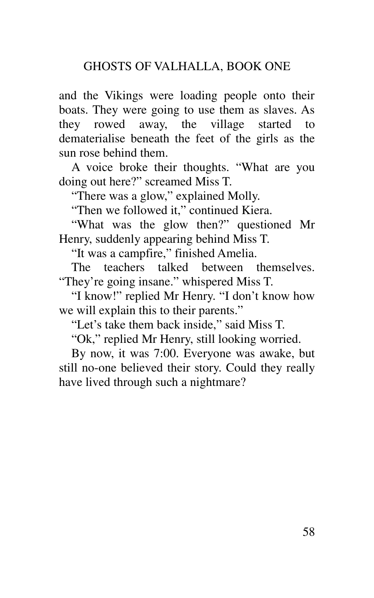and the Vikings were loading people onto their boats. They were going to use them as slaves. As they rowed away, the village started to dematerialise beneath the feet of the girls as the sun rose behind them.

A voice broke their thoughts. "What are you doing out here?" screamed Miss T.

"There was a glow," explained Molly.

"Then we followed it," continued Kiera.

"What was the glow then?" questioned Mr Henry, suddenly appearing behind Miss T.

"It was a campfire," finished Amelia.

The teachers talked between themselves. "They're going insane." whispered Miss T.

"I know!" replied Mr Henry. "I don't know how we will explain this to their parents."

"Let's take them back inside," said Miss T.

"Ok," replied Mr Henry, still looking worried.

By now, it was 7:00. Everyone was awake, but still no-one believed their story. Could they really have lived through such a nightmare?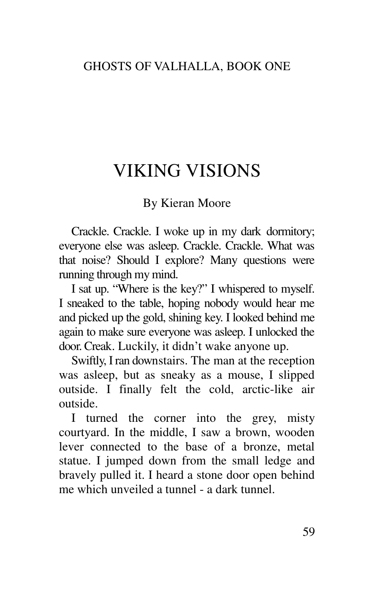# VIKING VISIONS

## By Kieran Moore

Crackle. Crackle. I woke up in my dark dormitory; everyone else was asleep. Crackle. Crackle. What was that noise? Should I explore? Many questions were running through my mind.

I sat up. "Where is the key?" I whispered to myself. I sneaked to the table, hoping nobody would hear me and picked up the gold, shining key. I looked behind me again to make sure everyone was asleep. I unlocked the door. Creak. Luckily, it didn't wake anyone up.

Swiftly, I ran downstairs. The man at the reception was asleep, but as sneaky as a mouse, I slipped outside. I finally felt the cold, arctic-like air outside.

I turned the corner into the grey, misty courtyard. In the middle, I saw a brown, wooden lever connected to the base of a bronze, metal statue. I jumped down from the small ledge and bravely pulled it. I heard a stone door open behind me which unveiled a tunnel - a dark tunnel.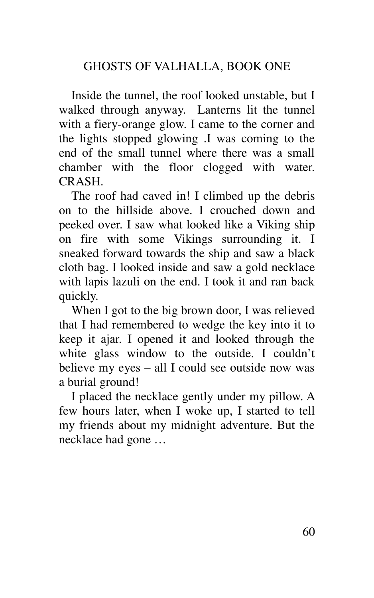Inside the tunnel, the roof looked unstable, but I walked through anyway. Lanterns lit the tunnel with a fiery-orange glow. I came to the corner and the lights stopped glowing .I was coming to the end of the small tunnel where there was a small chamber with the floor clogged with water. CRASH.

The roof had caved in! I climbed up the debris on to the hillside above. I crouched down and peeked over. I saw what looked like a Viking ship on fire with some Vikings surrounding it. I sneaked forward towards the ship and saw a black cloth bag. I looked inside and saw a gold necklace with lapis lazuli on the end. I took it and ran back quickly.

When I got to the big brown door, I was relieved that I had remembered to wedge the key into it to keep it ajar. I opened it and looked through the white glass window to the outside. I couldn't believe my eyes – all I could see outside now was a burial ground!

I placed the necklace gently under my pillow. A few hours later, when I woke up, I started to tell my friends about my midnight adventure. But the necklace had gone …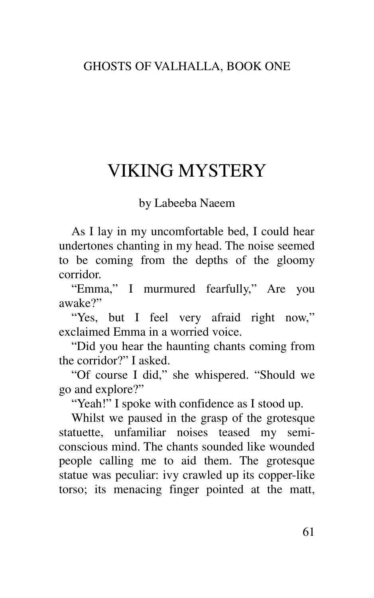# VIKING MYSTERY

### by Labeeba Naeem

As I lay in my uncomfortable bed, I could hear undertones chanting in my head. The noise seemed to be coming from the depths of the gloomy corridor.

"Emma," I murmured fearfully," Are you awake?"

"Yes, but I feel very afraid right now," exclaimed Emma in a worried voice.

"Did you hear the haunting chants coming from the corridor?" I asked.

"Of course I did," she whispered. "Should we go and explore?"

"Yeah!" I spoke with confidence as I stood up.

Whilst we paused in the grasp of the grotesque statuette, unfamiliar noises teased my semiconscious mind. The chants sounded like wounded people calling me to aid them. The grotesque statue was peculiar: ivy crawled up its copper-like torso; its menacing finger pointed at the matt,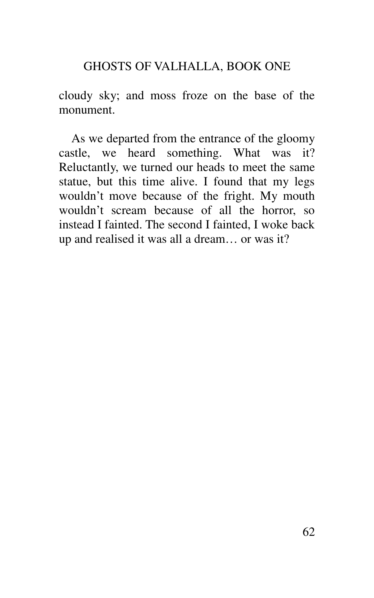## GHOSTS OF VALHALLA, BOOK ONE

cloudy sky; and moss froze on the base of the monument.

As we departed from the entrance of the gloomy castle, we heard something. What was it? Reluctantly, we turned our heads to meet the same statue, but this time alive. I found that my legs wouldn't move because of the fright. My mouth wouldn't scream because of all the horror, so instead I fainted. The second I fainted, I woke back up and realised it was all a dream… or was it?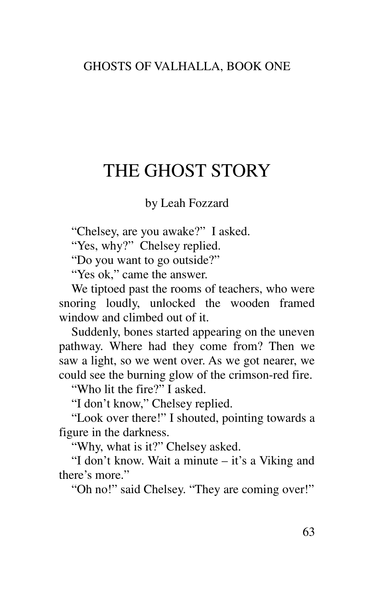## THE GHOST STORY

### by Leah Fozzard

"Chelsey, are you awake?" I asked.

"Yes, why?" Chelsey replied.

"Do you want to go outside?"

"Yes ok," came the answer.

We tiptoed past the rooms of teachers, who were snoring loudly, unlocked the wooden framed window and climbed out of it.

Suddenly, bones started appearing on the uneven pathway. Where had they come from? Then we saw a light, so we went over. As we got nearer, we could see the burning glow of the crimson-red fire.

"Who lit the fire?" I asked.

"I don't know," Chelsey replied.

"Look over there!" I shouted, pointing towards a figure in the darkness.

"Why, what is it?" Chelsey asked.

"I don't know. Wait a minute – it's a Viking and there's more."

"Oh no!" said Chelsey. "They are coming over!"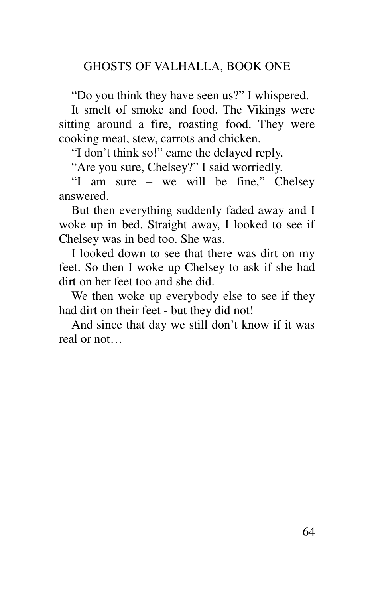"Do you think they have seen us?" I whispered.

It smelt of smoke and food. The Vikings were sitting around a fire, roasting food. They were cooking meat, stew, carrots and chicken.

"I don't think so!" came the delayed reply.

"Are you sure, Chelsey?" I said worriedly.

"I am sure – we will be fine," Chelsey answered.

But then everything suddenly faded away and I woke up in bed. Straight away, I looked to see if Chelsey was in bed too. She was.

I looked down to see that there was dirt on my feet. So then I woke up Chelsey to ask if she had dirt on her feet too and she did.

We then woke up everybody else to see if they had dirt on their feet - but they did not!

And since that day we still don't know if it was real or not…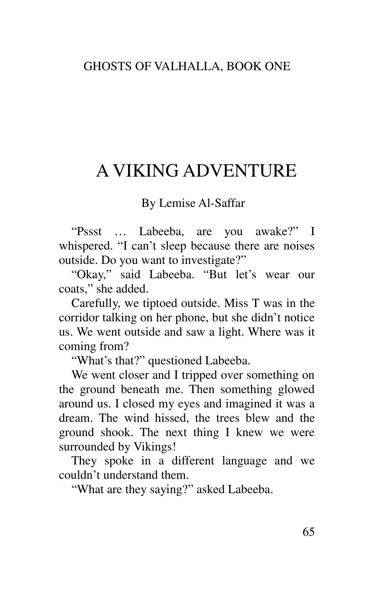## A VIKING ADVENTURE

### By Lemise Al-Saffar

"Pssst … Labeeba, are you awake?" I whispered. "I can't sleep because there are noises outside. Do you want to investigate?"

"Okay," said Labeeba. "But let's wear our coats," she added.

Carefully, we tiptoed outside. Miss T was in the corridor talking on her phone, but she didn't notice us. We went outside and saw a light. Where was it coming from?

"What's that?" questioned Labeeba.

We went closer and I tripped over something on the ground beneath me. Then something glowed around us. I closed my eyes and imagined it was a dream. The wind hissed, the trees blew and the ground shook. The next thing I knew we were surrounded by Vikings!

They spoke in a different language and we couldn't understand them.

"What are they saying?" asked Labeeba.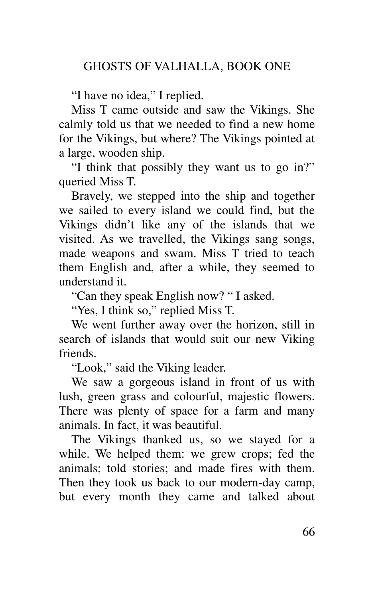"I have no idea," I replied.

Miss T came outside and saw the Vikings. She calmly told us that we needed to find a new home for the Vikings, but where? The Vikings pointed at a large, wooden ship.

"I think that possibly they want us to go in?" queried Miss T.

Bravely, we stepped into the ship and together we sailed to every island we could find, but the Vikings didn't like any of the islands that we visited. As we travelled, the Vikings sang songs, made weapons and swam. Miss T tried to teach them English and, after a while, they seemed to understand it.

"Can they speak English now? " I asked.

"Yes, I think so," replied Miss T.

We went further away over the horizon, still in search of islands that would suit our new Viking friends.

"Look," said the Viking leader.

We saw a gorgeous island in front of us with lush, green grass and colourful, majestic flowers. There was plenty of space for a farm and many animals. In fact, it was beautiful.

The Vikings thanked us, so we stayed for a while. We helped them: we grew crops; fed the animals; told stories; and made fires with them. Then they took us back to our modern-day camp, but every month they came and talked about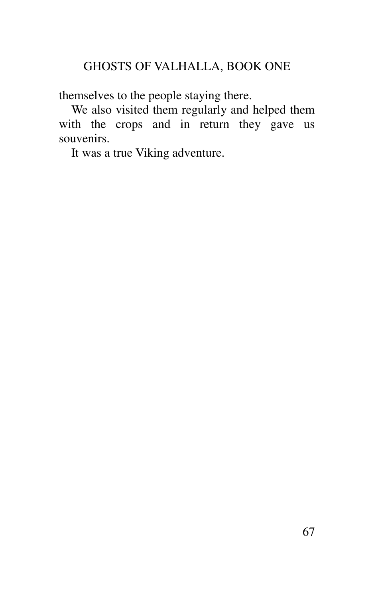themselves to the people staying there.

We also visited them regularly and helped them with the crops and in return they gave us souvenirs.

It was a true Viking adventure.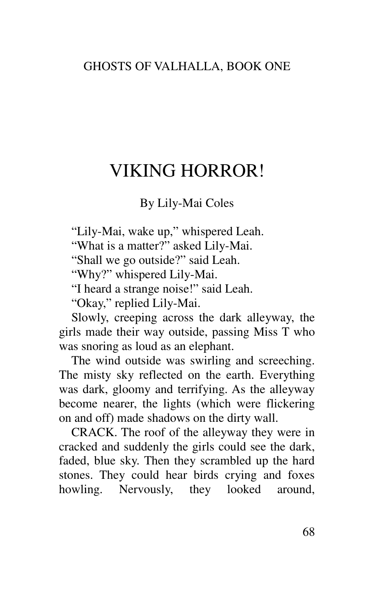## VIKING HORROR!

### By Lily-Mai Coles

"Lily-Mai, wake up," whispered Leah. "What is a matter?" asked Lily-Mai. "Shall we go outside?" said Leah. "Why?" whispered Lily-Mai. "I heard a strange noise!" said Leah. "Okay," replied Lily-Mai.

Slowly, creeping across the dark alleyway, the girls made their way outside, passing Miss T who was snoring as loud as an elephant.

The wind outside was swirling and screeching. The misty sky reflected on the earth. Everything was dark, gloomy and terrifying. As the alleyway become nearer, the lights (which were flickering on and off) made shadows on the dirty wall.

CRACK. The roof of the alleyway they were in cracked and suddenly the girls could see the dark, faded, blue sky. Then they scrambled up the hard stones. They could hear birds crying and foxes howling. Nervously, they looked around,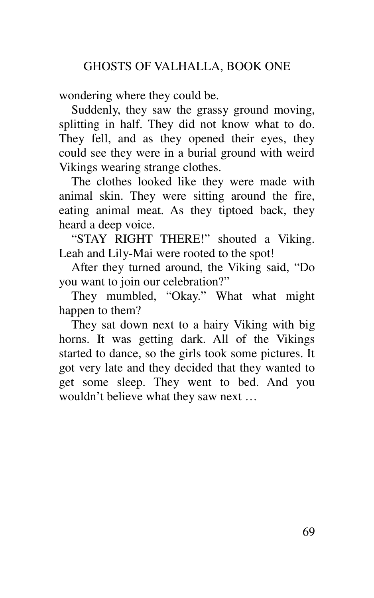wondering where they could be.

Suddenly, they saw the grassy ground moving, splitting in half. They did not know what to do. They fell, and as they opened their eyes, they could see they were in a burial ground with weird Vikings wearing strange clothes.

The clothes looked like they were made with animal skin. They were sitting around the fire, eating animal meat. As they tiptoed back, they heard a deep voice.

"STAY RIGHT THERE!" shouted a Viking. Leah and Lily-Mai were rooted to the spot!

After they turned around, the Viking said, "Do you want to join our celebration?"

They mumbled, "Okay." What what might happen to them?

They sat down next to a hairy Viking with big horns. It was getting dark. All of the Vikings started to dance, so the girls took some pictures. It got very late and they decided that they wanted to get some sleep. They went to bed. And you wouldn't believe what they saw next …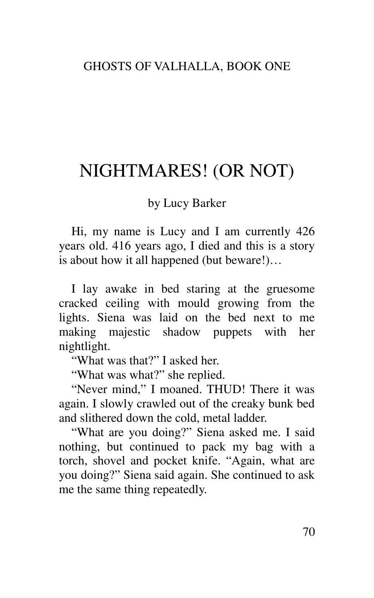## NIGHTMARES! (OR NOT)

### by Lucy Barker

Hi, my name is Lucy and I am currently 426 years old. 416 years ago, I died and this is a story is about how it all happened (but beware!)…

I lay awake in bed staring at the gruesome cracked ceiling with mould growing from the lights. Siena was laid on the bed next to me making majestic shadow puppets with her nightlight.

"What was that?" I asked her.

"What was what?" she replied.

"Never mind," I moaned. THUD! There it was again. I slowly crawled out of the creaky bunk bed and slithered down the cold, metal ladder.

"What are you doing?" Siena asked me. I said nothing, but continued to pack my bag with a torch, shovel and pocket knife. "Again, what are you doing?" Siena said again. She continued to ask me the same thing repeatedly.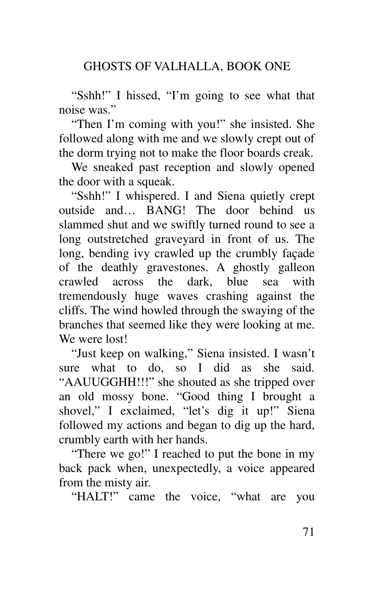"Sshh!" I hissed, "I'm going to see what that noise was."

"Then I'm coming with you!" she insisted. She followed along with me and we slowly crept out of the dorm trying not to make the floor boards creak.

We sneaked past reception and slowly opened the door with a squeak.

"Sshh!" I whispered. I and Siena quietly crept outside and… BANG! The door behind us slammed shut and we swiftly turned round to see a long outstretched graveyard in front of us. The long, bending ivy crawled up the crumbly façade of the deathly gravestones. A ghostly galleon crawled across the dark, blue sea with tremendously huge waves crashing against the cliffs. The wind howled through the swaying of the branches that seemed like they were looking at me. We were lost!

"Just keep on walking," Siena insisted. I wasn't sure what to do, so I did as she said. "AAUUGGHH!!!" she shouted as she tripped over an old mossy bone. "Good thing I brought a shovel," I exclaimed, "let's dig it up!" Siena followed my actions and began to dig up the hard, crumbly earth with her hands.

"There we go!" I reached to put the bone in my back pack when, unexpectedly, a voice appeared from the misty air.

"HALT!" came the voice, "what are you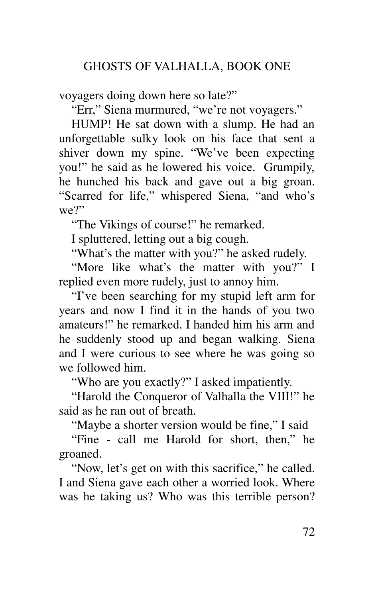voyagers doing down here so late?"

"Err," Siena murmured, "we're not voyagers."

HUMP! He sat down with a slump. He had an unforgettable sulky look on his face that sent a shiver down my spine. "We've been expecting you!" he said as he lowered his voice. Grumpily, he hunched his back and gave out a big groan. "Scarred for life," whispered Siena, "and who's we?"

"The Vikings of course!" he remarked.

I spluttered, letting out a big cough.

"What's the matter with you?" he asked rudely.

"More like what's the matter with you?" I replied even more rudely, just to annoy him.

"I've been searching for my stupid left arm for years and now I find it in the hands of you two amateurs!" he remarked. I handed him his arm and he suddenly stood up and began walking. Siena and I were curious to see where he was going so we followed him.

"Who are you exactly?" I asked impatiently.

"Harold the Conqueror of Valhalla the VIII!" he said as he ran out of breath.

"Maybe a shorter version would be fine," I said

"Fine - call me Harold for short, then," he groaned.

"Now, let's get on with this sacrifice," he called. I and Siena gave each other a worried look. Where was he taking us? Who was this terrible person?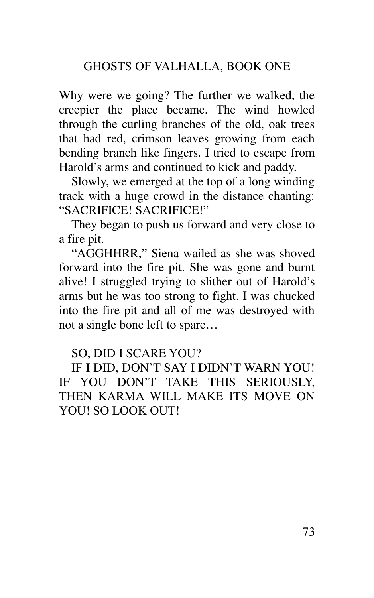Why were we going? The further we walked, the creepier the place became. The wind howled through the curling branches of the old, oak trees that had red, crimson leaves growing from each bending branch like fingers. I tried to escape from Harold's arms and continued to kick and paddy.

Slowly, we emerged at the top of a long winding track with a huge crowd in the distance chanting: "SACRIFICE! SACRIFICE!"

They began to push us forward and very close to a fire pit.

"AGGHHRR," Siena wailed as she was shoved forward into the fire pit. She was gone and burnt alive! I struggled trying to slither out of Harold's arms but he was too strong to fight. I was chucked into the fire pit and all of me was destroyed with not a single bone left to spare…

### SO, DID I SCARE YOU?

IF I DID, DON'T SAY I DIDN'T WARN YOU! IF YOU DON'T TAKE THIS SERIOUSLY, THEN KARMA WILL MAKE ITS MOVE ON YOU! SO LOOK OUT!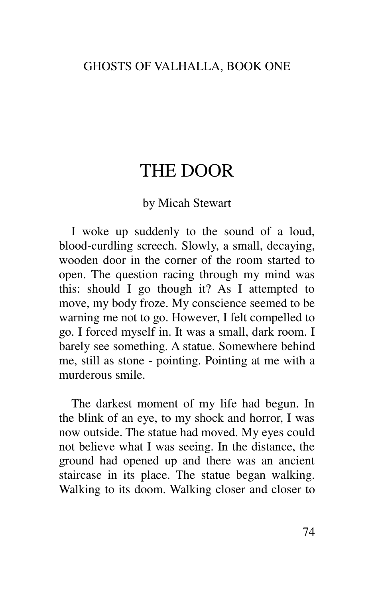## THE DOOR

#### by Micah Stewart

I woke up suddenly to the sound of a loud, blood-curdling screech. Slowly, a small, decaying, wooden door in the corner of the room started to open. The question racing through my mind was this: should I go though it? As I attempted to move, my body froze. My conscience seemed to be warning me not to go. However, I felt compelled to go. I forced myself in. It was a small, dark room. I barely see something. A statue. Somewhere behind me, still as stone - pointing. Pointing at me with a murderous smile.

The darkest moment of my life had begun. In the blink of an eye, to my shock and horror, I was now outside. The statue had moved. My eyes could not believe what I was seeing. In the distance, the ground had opened up and there was an ancient staircase in its place. The statue began walking. Walking to its doom. Walking closer and closer to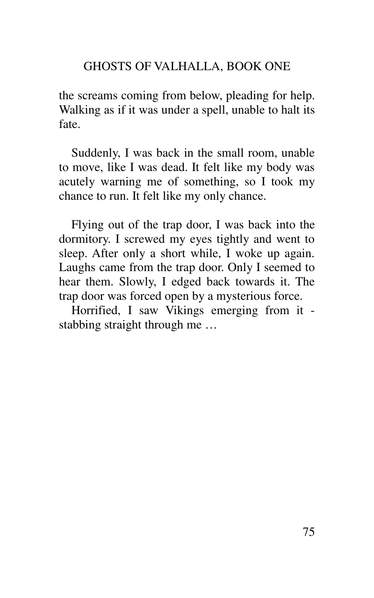the screams coming from below, pleading for help. Walking as if it was under a spell, unable to halt its fate.

Suddenly, I was back in the small room, unable to move, like I was dead. It felt like my body was acutely warning me of something, so I took my chance to run. It felt like my only chance.

Flying out of the trap door, I was back into the dormitory. I screwed my eyes tightly and went to sleep. After only a short while, I woke up again. Laughs came from the trap door. Only I seemed to hear them. Slowly, I edged back towards it. The trap door was forced open by a mysterious force.

Horrified, I saw Vikings emerging from it stabbing straight through me …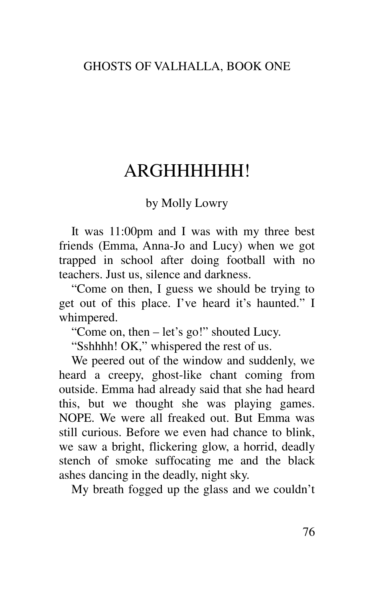## ARGHHHHHH!

### by Molly Lowry

It was 11:00pm and I was with my three best friends (Emma, Anna-Jo and Lucy) when we got trapped in school after doing football with no teachers. Just us, silence and darkness.

"Come on then, I guess we should be trying to get out of this place. I've heard it's haunted." I whimpered.

"Come on, then – let's go!" shouted Lucy.

"Sshhhh! OK," whispered the rest of us.

We peered out of the window and suddenly, we heard a creepy, ghost-like chant coming from outside. Emma had already said that she had heard this, but we thought she was playing games. NOPE. We were all freaked out. But Emma was still curious. Before we even had chance to blink, we saw a bright, flickering glow, a horrid, deadly stench of smoke suffocating me and the black ashes dancing in the deadly, night sky.

My breath fogged up the glass and we couldn't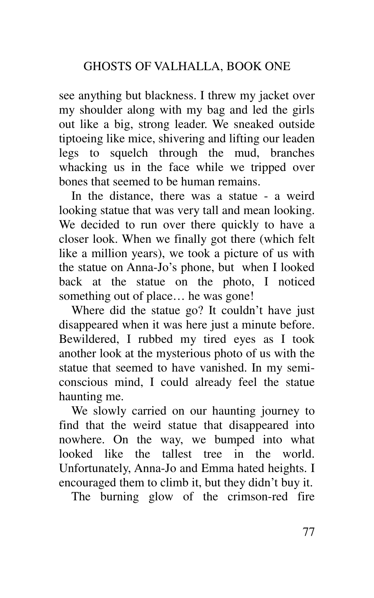see anything but blackness. I threw my jacket over my shoulder along with my bag and led the girls out like a big, strong leader. We sneaked outside tiptoeing like mice, shivering and lifting our leaden legs to squelch through the mud, branches whacking us in the face while we tripped over bones that seemed to be human remains.

In the distance, there was a statue - a weird looking statue that was very tall and mean looking. We decided to run over there quickly to have a closer look. When we finally got there (which felt like a million years), we took a picture of us with the statue on Anna-Jo's phone, but when I looked back at the statue on the photo, I noticed something out of place… he was gone!

Where did the statue go? It couldn't have just disappeared when it was here just a minute before. Bewildered, I rubbed my tired eyes as I took another look at the mysterious photo of us with the statue that seemed to have vanished. In my semiconscious mind, I could already feel the statue haunting me.

We slowly carried on our haunting journey to find that the weird statue that disappeared into nowhere. On the way, we bumped into what looked like the tallest tree in the world. Unfortunately, Anna-Jo and Emma hated heights. I encouraged them to climb it, but they didn't buy it.

The burning glow of the crimson-red fire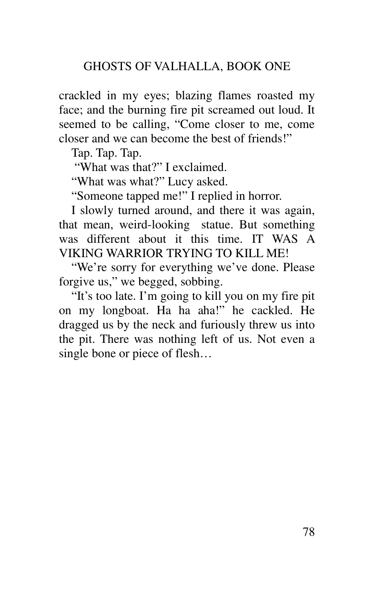crackled in my eyes; blazing flames roasted my face; and the burning fire pit screamed out loud. It seemed to be calling, "Come closer to me, come closer and we can become the best of friends!"

Tap. Tap. Tap.

"What was that?" I exclaimed.

"What was what?" Lucy asked.

"Someone tapped me!" I replied in horror.

I slowly turned around, and there it was again, that mean, weird-looking statue. But something was different about it this time. IT WAS A VIKING WARRIOR TRYING TO KILL ME!

"We're sorry for everything we've done. Please forgive us," we begged, sobbing.

"It's too late. I'm going to kill you on my fire pit on my longboat. Ha ha aha!" he cackled. He dragged us by the neck and furiously threw us into the pit. There was nothing left of us. Not even a single bone or piece of flesh…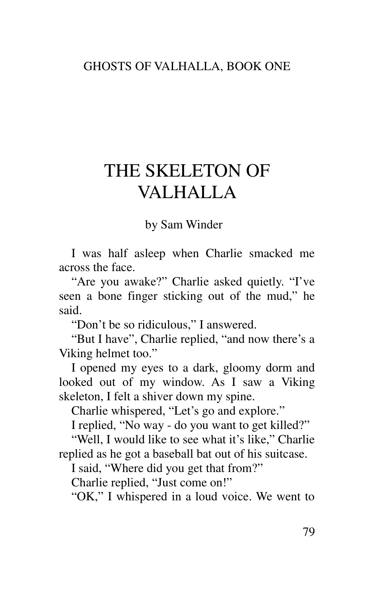# THE SKELETON OF VALHALLA

#### by Sam Winder

I was half asleep when Charlie smacked me across the face.

"Are you awake?" Charlie asked quietly. "I've seen a bone finger sticking out of the mud," he said.

"Don't be so ridiculous," I answered.

"But I have", Charlie replied, "and now there's a Viking helmet too."

I opened my eyes to a dark, gloomy dorm and looked out of my window. As I saw a Viking skeleton, I felt a shiver down my spine.

Charlie whispered, "Let's go and explore."

I replied, "No way - do you want to get killed?"

"Well, I would like to see what it's like," Charlie replied as he got a baseball bat out of his suitcase.

I said, "Where did you get that from?"

Charlie replied, "Just come on!"

"OK," I whispered in a loud voice. We went to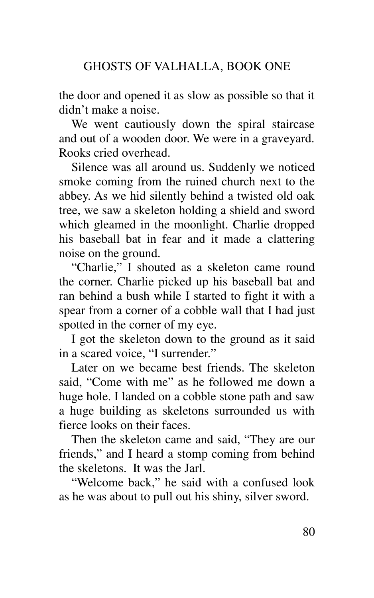the door and opened it as slow as possible so that it didn't make a noise.

We went cautiously down the spiral staircase and out of a wooden door. We were in a graveyard. Rooks cried overhead.

Silence was all around us. Suddenly we noticed smoke coming from the ruined church next to the abbey. As we hid silently behind a twisted old oak tree, we saw a skeleton holding a shield and sword which gleamed in the moonlight. Charlie dropped his baseball bat in fear and it made a clattering noise on the ground.

"Charlie," I shouted as a skeleton came round the corner. Charlie picked up his baseball bat and ran behind a bush while I started to fight it with a spear from a corner of a cobble wall that I had just spotted in the corner of my eye.

I got the skeleton down to the ground as it said in a scared voice, "I surrender."

Later on we became best friends. The skeleton said, "Come with me" as he followed me down a huge hole. I landed on a cobble stone path and saw a huge building as skeletons surrounded us with fierce looks on their faces.

Then the skeleton came and said, "They are our friends," and I heard a stomp coming from behind the skeletons. It was the Jarl.

"Welcome back," he said with a confused look as he was about to pull out his shiny, silver sword.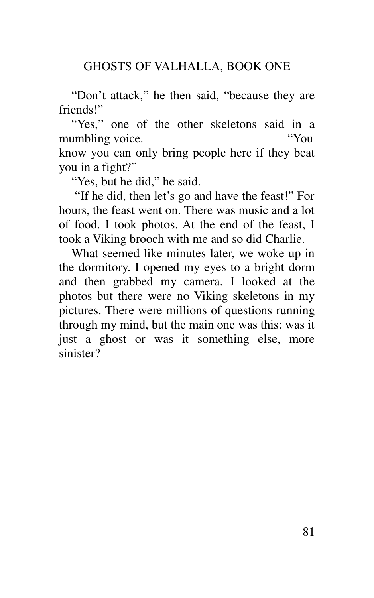"Don't attack," he then said, "because they are friends!"

"Yes," one of the other skeletons said in a mumbling voice. "You know you can only bring people here if they beat you in a fight?"

"Yes, but he did," he said.

 "If he did, then let's go and have the feast!" For hours, the feast went on. There was music and a lot of food. I took photos. At the end of the feast, I took a Viking brooch with me and so did Charlie.

What seemed like minutes later, we woke up in the dormitory. I opened my eyes to a bright dorm and then grabbed my camera. I looked at the photos but there were no Viking skeletons in my pictures. There were millions of questions running through my mind, but the main one was this: was it just a ghost or was it something else, more sinister?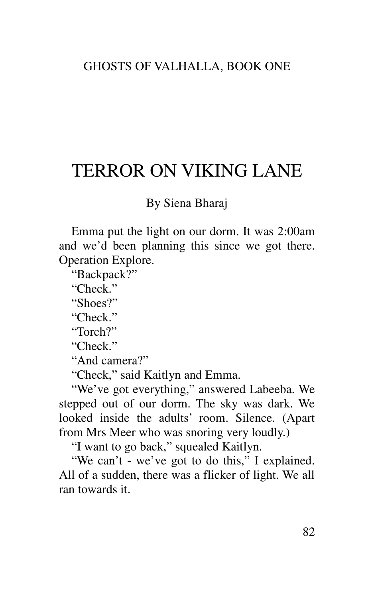## TERROR ON VIKING LANE

By Siena Bharaj

Emma put the light on our dorm. It was 2:00am and we'd been planning this since we got there. Operation Explore.

"Backpack?"

"Check."

"Shoes?"

"Check."

"Torch?"

"Check."

"And camera?"

"Check," said Kaitlyn and Emma.

"We've got everything," answered Labeeba. We stepped out of our dorm. The sky was dark. We looked inside the adults' room. Silence. (Apart from Mrs Meer who was snoring very loudly.)

"I want to go back," squealed Kaitlyn.

"We can't - we've got to do this," I explained. All of a sudden, there was a flicker of light. We all ran towards it.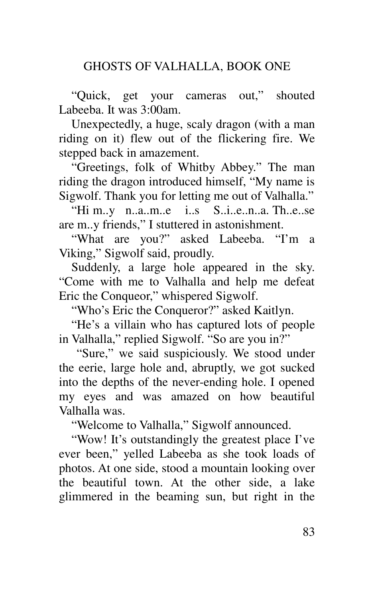"Quick, get your cameras out," shouted Labeeba. It was 3:00am.

Unexpectedly, a huge, scaly dragon (with a man riding on it) flew out of the flickering fire. We stepped back in amazement.

"Greetings, folk of Whitby Abbey." The man riding the dragon introduced himself, "My name is Sigwolf. Thank you for letting me out of Valhalla."

"Hi m..y n..a..m..e i..s S..i..e..n..a. Th..e..se are m..y friends," I stuttered in astonishment.

"What are you?" asked Labeeba. "I'm a Viking," Sigwolf said, proudly.

Suddenly, a large hole appeared in the sky. "Come with me to Valhalla and help me defeat Eric the Conqueor," whispered Sigwolf.

"Who's Eric the Conqueror?" asked Kaitlyn.

"He's a villain who has captured lots of people in Valhalla," replied Sigwolf. "So are you in?"

 "Sure," we said suspiciously. We stood under the eerie, large hole and, abruptly, we got sucked into the depths of the never-ending hole. I opened my eyes and was amazed on how beautiful Valhalla was.

"Welcome to Valhalla," Sigwolf announced.

"Wow! It's outstandingly the greatest place I've ever been," yelled Labeeba as she took loads of photos. At one side, stood a mountain looking over the beautiful town. At the other side, a lake glimmered in the beaming sun, but right in the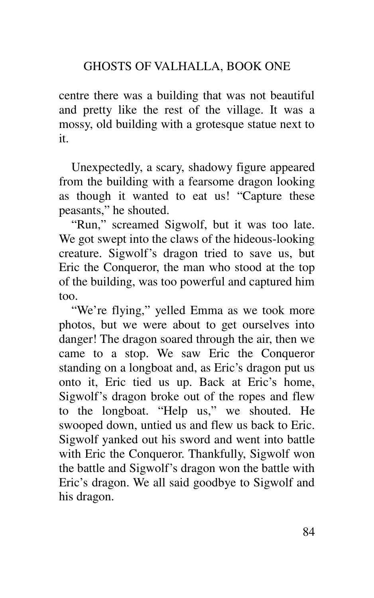centre there was a building that was not beautiful and pretty like the rest of the village. It was a mossy, old building with a grotesque statue next to it.

Unexpectedly, a scary, shadowy figure appeared from the building with a fearsome dragon looking as though it wanted to eat us! "Capture these peasants," he shouted.

"Run," screamed Sigwolf, but it was too late. We got swept into the claws of the hideous-looking creature. Sigwolf's dragon tried to save us, but Eric the Conqueror, the man who stood at the top of the building, was too powerful and captured him too.

"We're flying," yelled Emma as we took more photos, but we were about to get ourselves into danger! The dragon soared through the air, then we came to a stop. We saw Eric the Conqueror standing on a longboat and, as Eric's dragon put us onto it, Eric tied us up. Back at Eric's home, Sigwolf's dragon broke out of the ropes and flew to the longboat. "Help us," we shouted. He swooped down, untied us and flew us back to Eric. Sigwolf yanked out his sword and went into battle with Eric the Conqueror. Thankfully, Sigwolf won the battle and Sigwolf's dragon won the battle with Eric's dragon. We all said goodbye to Sigwolf and his dragon.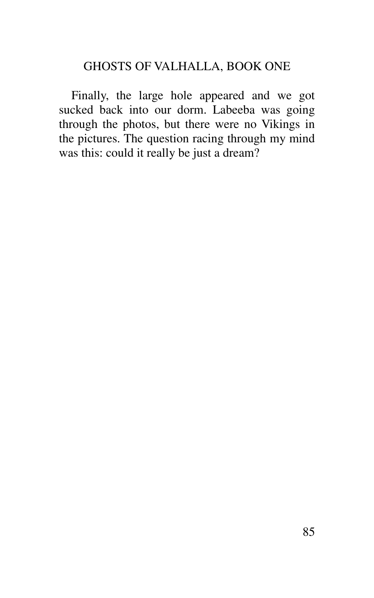Finally, the large hole appeared and we got sucked back into our dorm. Labeeba was going through the photos, but there were no Vikings in the pictures. The question racing through my mind was this: could it really be just a dream?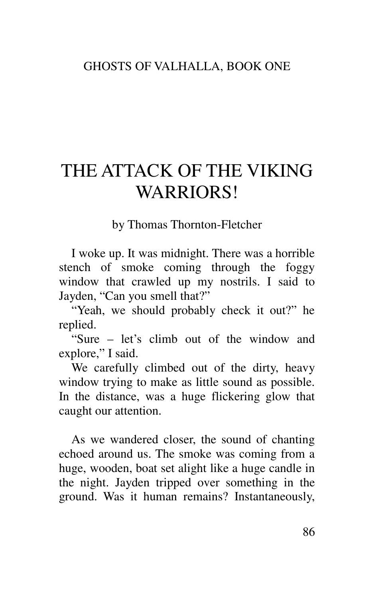# THE ATTACK OF THE VIKING WARRIORS!

by Thomas Thornton-Fletcher

I woke up. It was midnight. There was a horrible stench of smoke coming through the foggy window that crawled up my nostrils. I said to Jayden, "Can you smell that?"

"Yeah, we should probably check it out?" he replied.

"Sure – let's climb out of the window and explore," I said.

We carefully climbed out of the dirty, heavy window trying to make as little sound as possible. In the distance, was a huge flickering glow that caught our attention.

As we wandered closer, the sound of chanting echoed around us. The smoke was coming from a huge, wooden, boat set alight like a huge candle in the night. Jayden tripped over something in the ground. Was it human remains? Instantaneously,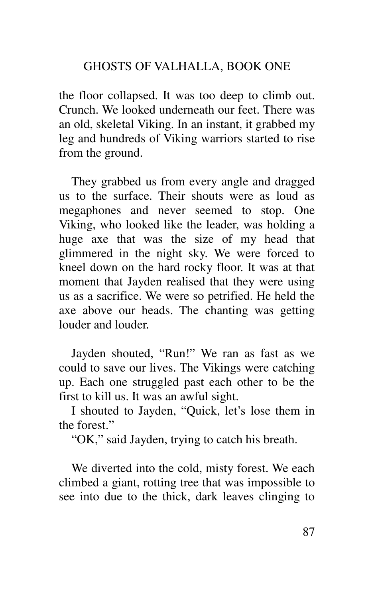the floor collapsed. It was too deep to climb out. Crunch. We looked underneath our feet. There was an old, skeletal Viking. In an instant, it grabbed my leg and hundreds of Viking warriors started to rise from the ground.

They grabbed us from every angle and dragged us to the surface. Their shouts were as loud as megaphones and never seemed to stop. One Viking, who looked like the leader, was holding a huge axe that was the size of my head that glimmered in the night sky. We were forced to kneel down on the hard rocky floor. It was at that moment that Jayden realised that they were using us as a sacrifice. We were so petrified. He held the axe above our heads. The chanting was getting louder and louder.

Jayden shouted, "Run!" We ran as fast as we could to save our lives. The Vikings were catching up. Each one struggled past each other to be the first to kill us. It was an awful sight.

I shouted to Jayden, "Quick, let's lose them in the forest."

"OK," said Jayden, trying to catch his breath.

We diverted into the cold, misty forest. We each climbed a giant, rotting tree that was impossible to see into due to the thick, dark leaves clinging to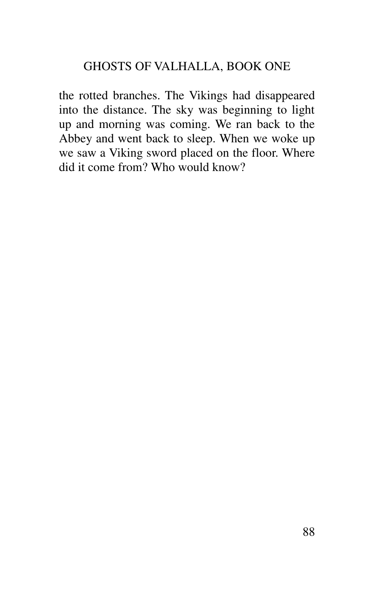the rotted branches. The Vikings had disappeared into the distance. The sky was beginning to light up and morning was coming. We ran back to the Abbey and went back to sleep. When we woke up we saw a Viking sword placed on the floor. Where did it come from? Who would know?